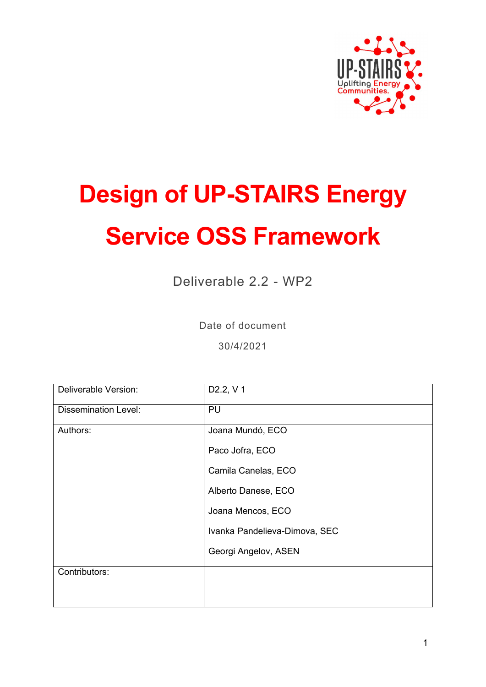

# **Design of UP-STAIRS Energy Service OSS Framework**

Deliverable 2.2 - WP2

Date of document

30/4/2021

| Deliverable Version:        | D <sub>2.2</sub> , V <sub>1</sub> |
|-----------------------------|-----------------------------------|
| <b>Dissemination Level:</b> | PU                                |
| Authors:                    | Joana Mundó, ECO                  |
|                             | Paco Jofra, ECO                   |
|                             | Camila Canelas, ECO               |
|                             | Alberto Danese, ECO               |
|                             | Joana Mencos, ECO                 |
|                             | Ivanka Pandelieva-Dimova, SEC     |
|                             | Georgi Angelov, ASEN              |
| Contributors:               |                                   |
|                             |                                   |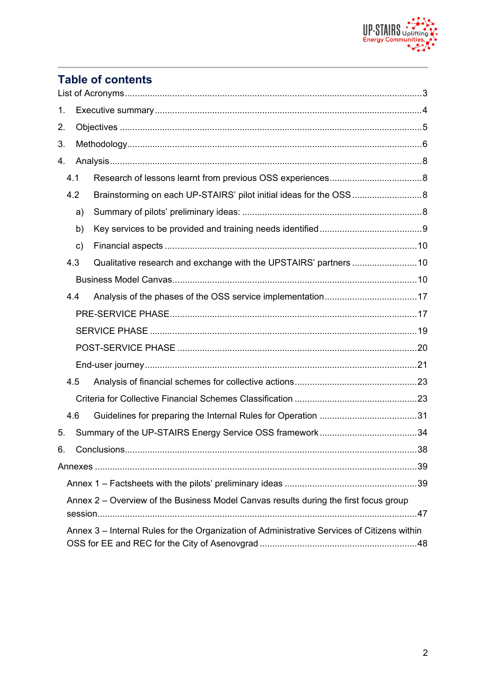

### **Table of contents**

| 1. |     |    |                                                                                             |     |
|----|-----|----|---------------------------------------------------------------------------------------------|-----|
| 2. |     |    |                                                                                             |     |
| 3. |     |    |                                                                                             |     |
| 4. |     |    |                                                                                             |     |
|    | 4.1 |    |                                                                                             |     |
|    | 4.2 |    | Brainstorming on each UP-STAIRS' pilot initial ideas for the OSS8                           |     |
|    |     | a) |                                                                                             |     |
|    |     | b) |                                                                                             |     |
|    |     | c) |                                                                                             |     |
|    | 4.3 |    | Qualitative research and exchange with the UPSTAIRS' partners 10                            |     |
|    |     |    |                                                                                             |     |
|    | 4.4 |    |                                                                                             |     |
|    |     |    |                                                                                             |     |
|    |     |    |                                                                                             |     |
|    |     |    |                                                                                             |     |
|    |     |    |                                                                                             |     |
|    | 4.5 |    |                                                                                             |     |
|    |     |    |                                                                                             |     |
|    | 4.6 |    |                                                                                             |     |
| 5. |     |    |                                                                                             |     |
| 6. |     |    | Conclusions                                                                                 | .38 |
|    |     |    |                                                                                             |     |
|    |     |    |                                                                                             |     |
|    |     |    | Annex 2 – Overview of the Business Model Canvas results during the first focus group        |     |
|    |     |    | Annex 3 – Internal Rules for the Organization of Administrative Services of Citizens within |     |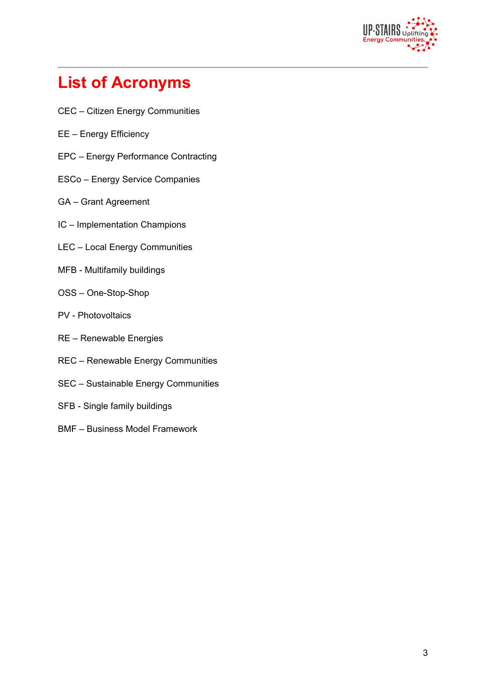

# **List of Acronyms**

- CEC Citizen Energy Communities
- EE Energy Efficiency
- EPC Energy Performance Contracting
- ESCo Energy Service Companies
- GA Grant Agreement
- IC Implementation Champions
- LEC Local Energy Communities
- MFB Multifamily buildings
- OSS One-Stop-Shop
- PV Photovoltaics
- RE Renewable Energies
- REC Renewable Energy Communities
- SEC Sustainable Energy Communities
- SFB Single family buildings
- BMF Business Model Framework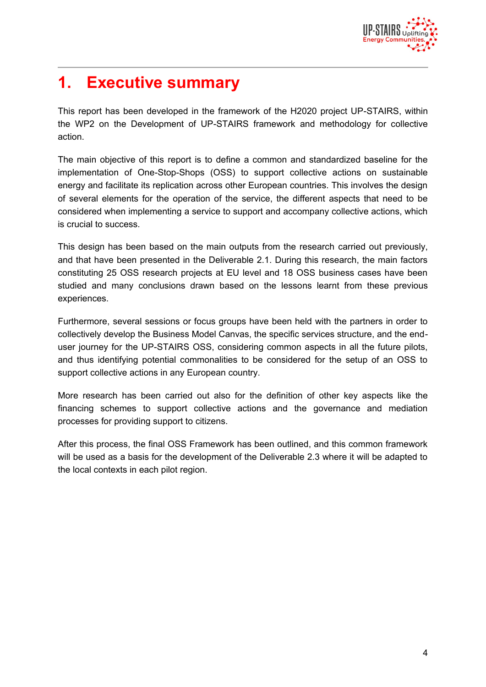

# **1. Executive summary**

This report has been developed in the framework of the H2020 project UP-STAIRS, within the WP2 on the Development of UP-STAIRS framework and methodology for collective action.

The main objective of this report is to define a common and standardized baseline for the implementation of One-Stop-Shops (OSS) to support collective actions on sustainable energy and facilitate its replication across other European countries. This involves the design of several elements for the operation of the service, the different aspects that need to be considered when implementing a service to support and accompany collective actions, which is crucial to success.

This design has been based on the main outputs from the research carried out previously, and that have been presented in the Deliverable 2.1. During this research, the main factors constituting 25 OSS research projects at EU level and 18 OSS business cases have been studied and many conclusions drawn based on the lessons learnt from these previous experiences.

Furthermore, several sessions or focus groups have been held with the partners in order to collectively develop the Business Model Canvas, the specific services structure, and the enduser journey for the UP-STAIRS OSS, considering common aspects in all the future pilots, and thus identifying potential commonalities to be considered for the setup of an OSS to support collective actions in any European country.

More research has been carried out also for the definition of other key aspects like the financing schemes to support collective actions and the governance and mediation processes for providing support to citizens.

After this process, the final OSS Framework has been outlined, and this common framework will be used as a basis for the development of the Deliverable 2.3 where it will be adapted to the local contexts in each pilot region.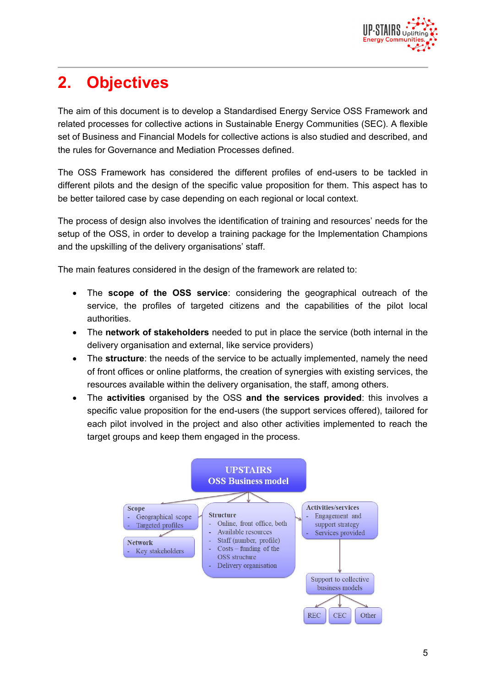

# **2. Objectives**

The aim of this document is to develop a Standardised Energy Service OSS Framework and related processes for collective actions in Sustainable Energy Communities (SEC). A flexible set of Business and Financial Models for collective actions is also studied and described, and the rules for Governance and Mediation Processes defined.

The OSS Framework has considered the different profiles of end-users to be tackled in different pilots and the design of the specific value proposition for them. This aspect has to be better tailored case by case depending on each regional or local context.

The process of design also involves the identification of training and resources' needs for the setup of the OSS, in order to develop a training package for the Implementation Champions and the upskilling of the delivery organisations' staff.

The main features considered in the design of the framework are related to:

- The **scope of the OSS service**: considering the geographical outreach of the service, the profiles of targeted citizens and the capabilities of the pilot local authorities.
- The **network of stakeholders** needed to put in place the service (both internal in the delivery organisation and external, like service providers)
- The **structure**: the needs of the service to be actually implemented, namely the need of front offices or online platforms, the creation of synergies with existing services, the resources available within the delivery organisation, the staff, among others.
- The **activities** organised by the OSS **and the services provided**: this involves a specific value proposition for the end-users (the support services offered), tailored for each pilot involved in the project and also other activities implemented to reach the target groups and keep them engaged in the process.

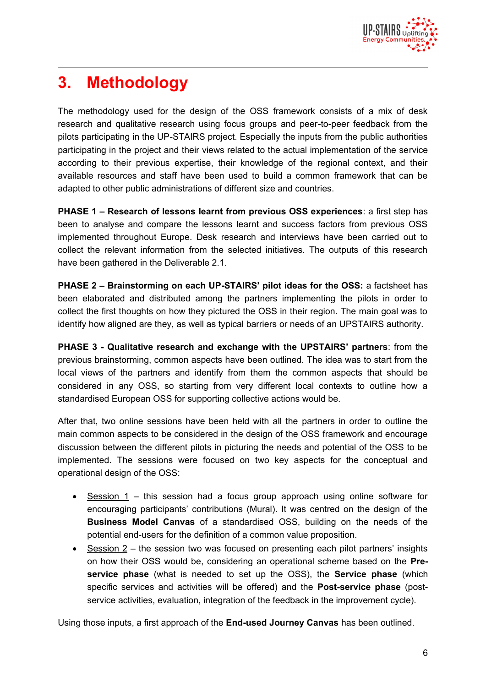

# **3. Methodology**

The methodology used for the design of the OSS framework consists of a mix of desk research and qualitative research using focus groups and peer-to-peer feedback from the pilots participating in the UP-STAIRS project. Especially the inputs from the public authorities participating in the project and their views related to the actual implementation of the service according to their previous expertise, their knowledge of the regional context, and their available resources and staff have been used to build a common framework that can be adapted to other public administrations of different size and countries.

**PHASE 1 – Research of lessons learnt from previous OSS experiences**: a first step has been to analyse and compare the lessons learnt and success factors from previous OSS implemented throughout Europe. Desk research and interviews have been carried out to collect the relevant information from the selected initiatives. The outputs of this research have been gathered in the Deliverable 2.1.

**PHASE 2 – Brainstorming on each UP-STAIRS' pilot ideas for the OSS:** a factsheet has been elaborated and distributed among the partners implementing the pilots in order to collect the first thoughts on how they pictured the OSS in their region. The main goal was to identify how aligned are they, as well as typical barriers or needs of an UPSTAIRS authority.

**PHASE 3 - Qualitative research and exchange with the UPSTAIRS' partners**: from the previous brainstorming, common aspects have been outlined. The idea was to start from the local views of the partners and identify from them the common aspects that should be considered in any OSS, so starting from very different local contexts to outline how a standardised European OSS for supporting collective actions would be.

After that, two online sessions have been held with all the partners in order to outline the main common aspects to be considered in the design of the OSS framework and encourage discussion between the different pilots in picturing the needs and potential of the OSS to be implemented. The sessions were focused on two key aspects for the conceptual and operational design of the OSS:

- Session 1 this session had a focus group approach using online software for encouraging participants' contributions (Mural). It was centred on the design of the **Business Model Canvas** of a standardised OSS, building on the needs of the potential end-users for the definition of a common value proposition.
- Session 2 the session two was focused on presenting each pilot partners' insights on how their OSS would be, considering an operational scheme based on the **Preservice phase** (what is needed to set up the OSS), the **Service phase** (which specific services and activities will be offered) and the **Post-service phase** (postservice activities, evaluation, integration of the feedback in the improvement cycle).

Using those inputs, a first approach of the **End-used Journey Canvas** has been outlined.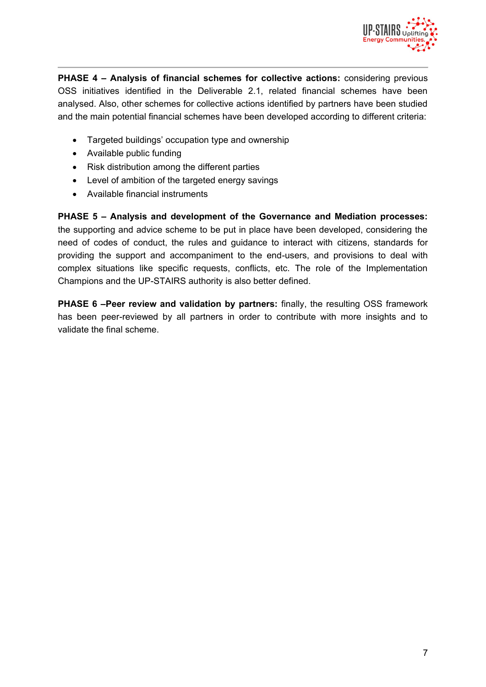

**PHASE 4 – Analysis of financial schemes for collective actions:** considering previous OSS initiatives identified in the Deliverable 2.1, related financial schemes have been analysed. Also, other schemes for collective actions identified by partners have been studied and the main potential financial schemes have been developed according to different criteria:

- Targeted buildings' occupation type and ownership
- Available public funding
- Risk distribution among the different parties
- Level of ambition of the targeted energy savings
- Available financial instruments

**PHASE 5 – Analysis and development of the Governance and Mediation processes:** the supporting and advice scheme to be put in place have been developed, considering the need of codes of conduct, the rules and guidance to interact with citizens, standards for providing the support and accompaniment to the end-users, and provisions to deal with complex situations like specific requests, conflicts, etc. The role of the Implementation Champions and the UP-STAIRS authority is also better defined.

**PHASE 6 –Peer review and validation by partners:** finally, the resulting OSS framework has been peer-reviewed by all partners in order to contribute with more insights and to validate the final scheme.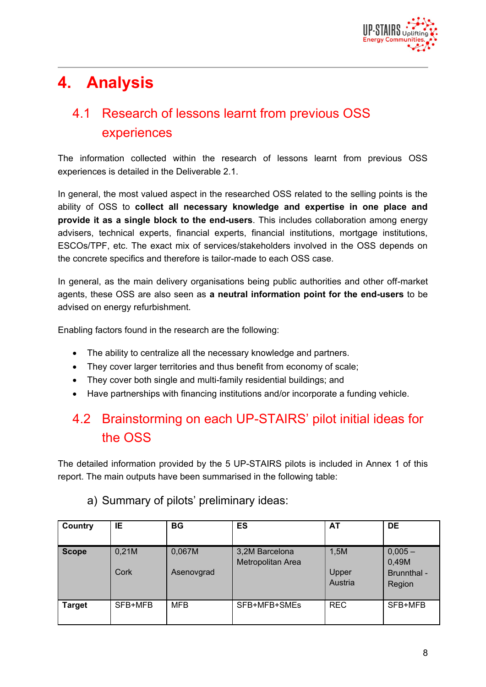

# **4. Analysis**

# 4.1 Research of lessons learnt from previous OSS experiences

The information collected within the research of lessons learnt from previous OSS experiences is detailed in the Deliverable 2.1.

In general, the most valued aspect in the researched OSS related to the selling points is the ability of OSS to **collect all necessary knowledge and expertise in one place and provide it as a single block to the end-users**. This includes collaboration among energy advisers, technical experts, financial experts, financial institutions, mortgage institutions, ESCOs/TPF, etc. The exact mix of services/stakeholders involved in the OSS depends on the concrete specifics and therefore is tailor-made to each OSS case.

In general, as the main delivery organisations being public authorities and other off-market agents, these OSS are also seen as **a neutral information point for the end-users** to be advised on energy refurbishment.

Enabling factors found in the research are the following:

- The ability to centralize all the necessary knowledge and partners.
- They cover larger territories and thus benefit from economy of scale;
- They cover both single and multi-family residential buildings; and
- Have partnerships with financing institutions and/or incorporate a funding vehicle.

# 4.2 Brainstorming on each UP-STAIRS' pilot initial ideas for the OSS

The detailed information provided by the 5 UP-STAIRS pilots is included in Annex 1 of this report. The main outputs have been summarised in the following table:

| Country       | IE            | <b>BG</b>            | ES                                  | AT                       | <b>DE</b>                                   |
|---------------|---------------|----------------------|-------------------------------------|--------------------------|---------------------------------------------|
| <b>Scope</b>  | 0,21M<br>Cork | 0,067M<br>Asenovgrad | 3,2M Barcelona<br>Metropolitan Area | 1,5M<br>Upper<br>Austria | $0,005 -$<br>0,49M<br>Brunnthal -<br>Region |
| <b>Target</b> | SFB+MFB       | <b>MFB</b>           | SFB+MFB+SMEs                        | <b>REC</b>               | SFB+MFB                                     |

#### a) Summary of pilots' preliminary ideas: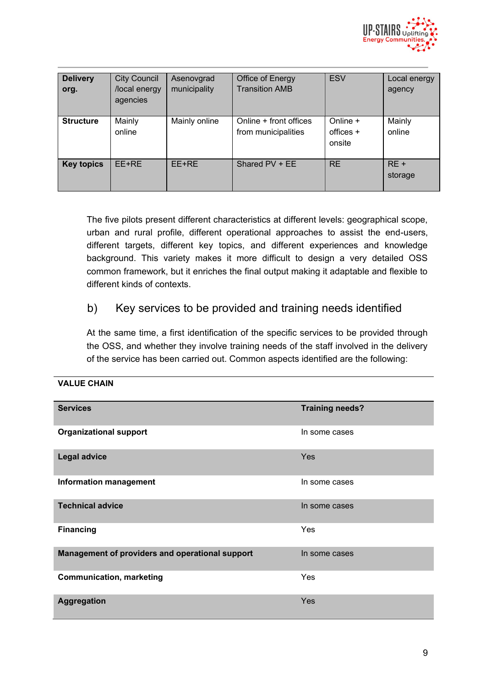

| <b>Delivery</b><br>org. | <b>City Council</b><br>/local energy<br>agencies | Asenovgrad<br>municipality | Office of Energy<br><b>Transition AMB</b>     | <b>ESV</b>                        | Local energy<br>agency |
|-------------------------|--------------------------------------------------|----------------------------|-----------------------------------------------|-----------------------------------|------------------------|
| <b>Structure</b>        | Mainly<br>online                                 | Mainly online              | Online + front offices<br>from municipalities | Online +<br>offices $+$<br>onsite | Mainly<br>online       |
| <b>Key topics</b>       | EE+RE                                            | EE+RE                      | Shared PV + EE                                | <b>RE</b>                         | $RE +$<br>storage      |

The five pilots present different characteristics at different levels: geographical scope, urban and rural profile, different operational approaches to assist the end-users, different targets, different key topics, and different experiences and knowledge background. This variety makes it more difficult to design a very detailed OSS common framework, but it enriches the final output making it adaptable and flexible to different kinds of contexts.

### b) Key services to be provided and training needs identified

At the same time, a first identification of the specific services to be provided through the OSS, and whether they involve training needs of the staff involved in the delivery of the service has been carried out. Common aspects identified are the following:

| <b>Services</b>                                 | <b>Training needs?</b> |
|-------------------------------------------------|------------------------|
| <b>Organizational support</b>                   | In some cases          |
| <b>Legal advice</b>                             | Yes                    |
| <b>Information management</b>                   | In some cases          |
| <b>Technical advice</b>                         | In some cases          |
| <b>Financing</b>                                | Yes                    |
| Management of providers and operational support | In some cases          |
| <b>Communication, marketing</b>                 | Yes                    |
| Aggregation                                     | Yes                    |

#### **VALUE CHAIN**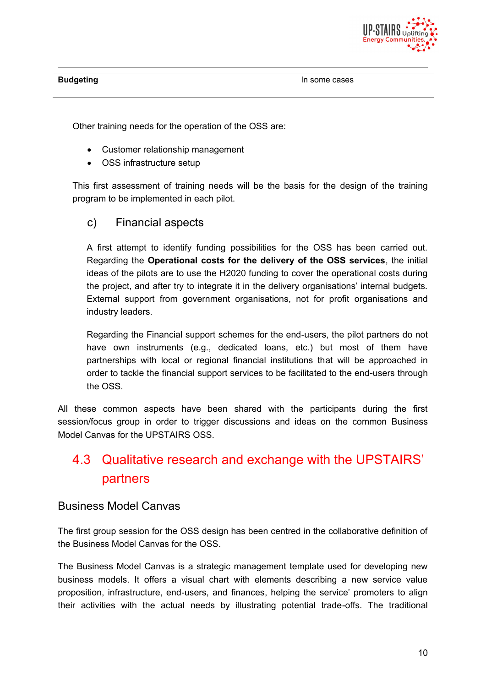

Other training needs for the operation of the OSS are:

- Customer relationship management
- OSS infrastructure setup

This first assessment of training needs will be the basis for the design of the training program to be implemented in each pilot.

c) Financial aspects

A first attempt to identify funding possibilities for the OSS has been carried out. Regarding the **Operational costs for the delivery of the OSS services**, the initial ideas of the pilots are to use the H2020 funding to cover the operational costs during the project, and after try to integrate it in the delivery organisations' internal budgets. External support from government organisations, not for profit organisations and industry leaders.

Regarding the Financial support schemes for the end-users, the pilot partners do not have own instruments (e.g., dedicated loans, etc.) but most of them have partnerships with local or regional financial institutions that will be approached in order to tackle the financial support services to be facilitated to the end-users through the OSS.

All these common aspects have been shared with the participants during the first session/focus group in order to trigger discussions and ideas on the common Business Model Canvas for the UPSTAIRS OSS.

# 4.3 Qualitative research and exchange with the UPSTAIRS' partners

#### Business Model Canvas

The first group session for the OSS design has been centred in the collaborative definition of the Business Model Canvas for the OSS.

The Business Model Canvas is a strategic management template used for developing new business models. It offers a visual chart with elements describing a new service value proposition, infrastructure, end-users, and finances, helping the service' promoters to align their activities with the actual needs by illustrating potential trade-offs. The traditional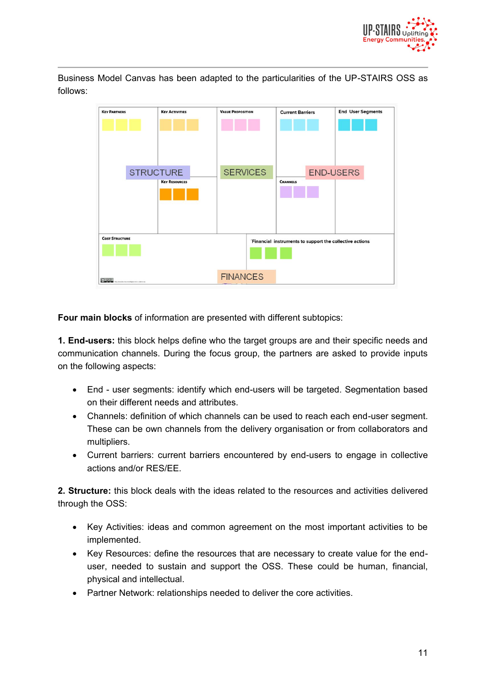

Business Model Canvas has been adapted to the particularities of the UP-STAIRS OSS as follows:



**Four main blocks** of information are presented with different subtopics:

**1. End-users:** this block helps define who the target groups are and their specific needs and communication channels. During the focus group, the partners are asked to provide inputs on the following aspects:

- End user segments: identify which end-users will be targeted. Segmentation based on their different needs and attributes.
- Channels: definition of which channels can be used to reach each end-user segment. These can be own channels from the delivery organisation or from collaborators and multipliers.
- Current barriers: current barriers encountered by end-users to engage in collective actions and/or RES/EE.

**2. Structure:** this block deals with the ideas related to the resources and activities delivered through the OSS:

- Key Activities: ideas and common agreement on the most important activities to be implemented.
- Key Resources: define the resources that are necessary to create value for the enduser, needed to sustain and support the OSS. These could be human, financial, physical and intellectual.
- Partner Network: relationships needed to deliver the core activities.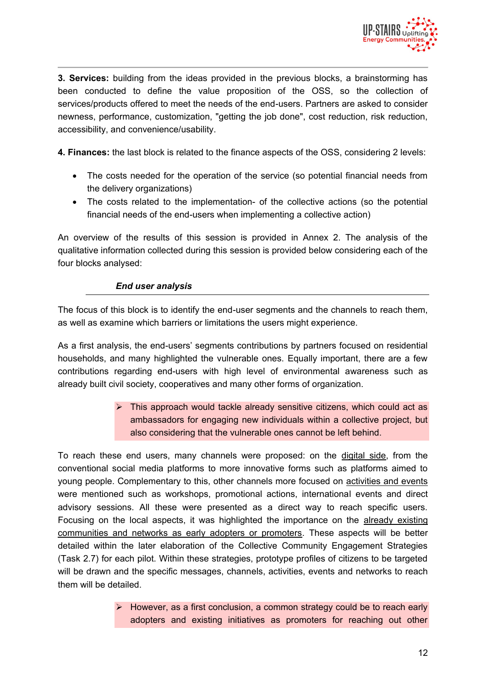

**3. Services:** building from the ideas provided in the previous blocks, a brainstorming has been conducted to define the value proposition of the OSS, so the collection of services/products offered to meet the needs of the end-users. Partners are asked to consider newness, performance, customization, "getting the job done", cost reduction, risk reduction, accessibility, and convenience/usability.

**4. Finances:** the last block is related to the finance aspects of the OSS, considering 2 levels:

- The costs needed for the operation of the service (so potential financial needs from the delivery organizations)
- The costs related to the implementation- of the collective actions (so the potential financial needs of the end-users when implementing a collective action)

An overview of the results of this session is provided in Annex 2. The analysis of the qualitative information collected during this session is provided below considering each of the four blocks analysed:

#### *End user analysis*

The focus of this block is to identify the end-user segments and the channels to reach them, as well as examine which barriers or limitations the users might experience.

As a first analysis, the end-users' segments contributions by partners focused on residential households, and many highlighted the vulnerable ones. Equally important, there are a few contributions regarding end-users with high level of environmental awareness such as already built civil society, cooperatives and many other forms of organization.

> $\triangleright$  This approach would tackle already sensitive citizens, which could act as ambassadors for engaging new individuals within a collective project, but also considering that the vulnerable ones cannot be left behind.

To reach these end users, many channels were proposed: on the digital side, from the conventional social media platforms to more innovative forms such as platforms aimed to young people. Complementary to this, other channels more focused on activities and events were mentioned such as workshops, promotional actions, international events and direct advisory sessions. All these were presented as a direct way to reach specific users. Focusing on the local aspects, it was highlighted the importance on the already existing communities and networks as early adopters or promoters. These aspects will be better detailed within the later elaboration of the Collective Community Engagement Strategies (Task 2.7) for each pilot. Within these strategies, prototype profiles of citizens to be targeted will be drawn and the specific messages, channels, activities, events and networks to reach them will be detailed.

> $\triangleright$  However, as a first conclusion, a common strategy could be to reach early adopters and existing initiatives as promoters for reaching out other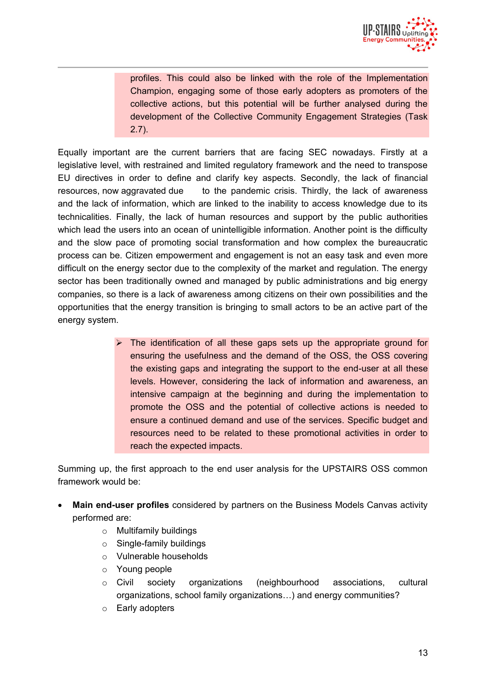

profiles. This could also be linked with the role of the Implementation Champion, engaging some of those early adopters as promoters of the collective actions, but this potential will be further analysed during the development of the Collective Community Engagement Strategies (Task 2.7).

Equally important are the current barriers that are facing SEC nowadays. Firstly at a legislative level, with restrained and limited regulatory framework and the need to transpose EU directives in order to define and clarify key aspects. Secondly, the lack of financial resources, now aggravated due to the pandemic crisis. Thirdly, the lack of awareness and the lack of information, which are linked to the inability to access knowledge due to its technicalities. Finally, the lack of human resources and support by the public authorities which lead the users into an ocean of unintelligible information. Another point is the difficulty and the slow pace of promoting social transformation and how complex the bureaucratic process can be. Citizen empowerment and engagement is not an easy task and even more difficult on the energy sector due to the complexity of the market and regulation. The energy sector has been traditionally owned and managed by public administrations and big energy companies, so there is a lack of awareness among citizens on their own possibilities and the opportunities that the energy transition is bringing to small actors to be an active part of the energy system.

> The identification of all these gaps sets up the appropriate ground for ensuring the usefulness and the demand of the OSS, the OSS covering the existing gaps and integrating the support to the end-user at all these levels. However, considering the lack of information and awareness, an intensive campaign at the beginning and during the implementation to promote the OSS and the potential of collective actions is needed to ensure a continued demand and use of the services. Specific budget and resources need to be related to these promotional activities in order to reach the expected impacts.

Summing up, the first approach to the end user analysis for the UPSTAIRS OSS common framework would be:

- **Main end-user profiles** considered by partners on the Business Models Canvas activity performed are:
	- o Multifamily buildings
	- o Single-family buildings
	- o Vulnerable households
	- o Young people
	- o Civil society organizations (neighbourhood associations, cultural organizations, school family organizations…) and energy communities?
	- o Early adopters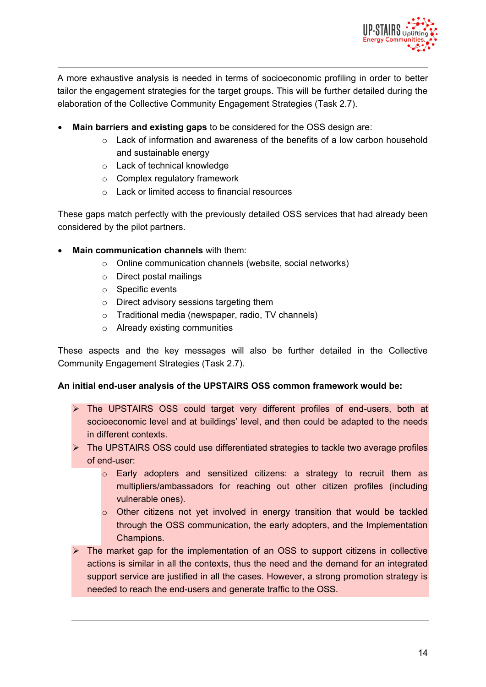

A more exhaustive analysis is needed in terms of socioeconomic profiling in order to better tailor the engagement strategies for the target groups. This will be further detailed during the elaboration of the Collective Community Engagement Strategies (Task 2.7).

- **Main barriers and existing gaps** to be considered for the OSS design are:
	- $\circ$  Lack of information and awareness of the benefits of a low carbon household and sustainable energy
	- o Lack of technical knowledge
	- o Complex regulatory framework
	- o Lack or limited access to financial resources

These gaps match perfectly with the previously detailed OSS services that had already been considered by the pilot partners.

- **Main communication channels** with them:
	- o Online communication channels (website, social networks)
	- o Direct postal mailings
	- o Specific events
	- o Direct advisory sessions targeting them
	- o Traditional media (newspaper, radio, TV channels)
	- o Already existing communities

These aspects and the key messages will also be further detailed in the Collective Community Engagement Strategies (Task 2.7).

#### **An initial end-user analysis of the UPSTAIRS OSS common framework would be:**

- The UPSTAIRS OSS could target very different profiles of end-users, both at socioeconomic level and at buildings' level, and then could be adapted to the needs in different contexts.
- The UPSTAIRS OSS could use differentiated strategies to tackle two average profiles of end-user:
	- o Early adopters and sensitized citizens: a strategy to recruit them as multipliers/ambassadors for reaching out other citizen profiles (including vulnerable ones).
	- o Other citizens not yet involved in energy transition that would be tackled through the OSS communication, the early adopters, and the Implementation Champions.
- $\triangleright$  The market gap for the implementation of an OSS to support citizens in collective actions is similar in all the contexts, thus the need and the demand for an integrated support service are justified in all the cases. However, a strong promotion strategy is needed to reach the end-users and generate traffic to the OSS.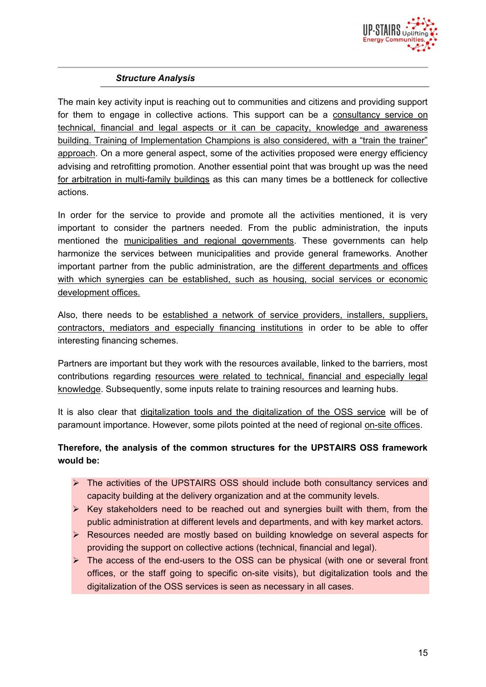

#### *Structure Analysis*

The main key activity input is reaching out to communities and citizens and providing support for them to engage in collective actions. This support can be a consultancy service on technical, financial and legal aspects or it can be capacity, knowledge and awareness building. Training of Implementation Champions is also considered, with a "train the trainer" approach. On a more general aspect, some of the activities proposed were energy efficiency advising and retrofitting promotion. Another essential point that was brought up was the need for arbitration in multi-family buildings as this can many times be a bottleneck for collective actions.

In order for the service to provide and promote all the activities mentioned, it is very important to consider the partners needed. From the public administration, the inputs mentioned the municipalities and regional governments. These governments can help harmonize the services between municipalities and provide general frameworks. Another important partner from the public administration, are the different departments and offices with which synergies can be established, such as housing, social services or economic development offices.

Also, there needs to be established a network of service providers, installers, suppliers, contractors, mediators and especially financing institutions in order to be able to offer interesting financing schemes.

Partners are important but they work with the resources available, linked to the barriers, most contributions regarding resources were related to technical, financial and especially legal knowledge. Subsequently, some inputs relate to training resources and learning hubs.

It is also clear that digitalization tools and the digitalization of the OSS service will be of paramount importance. However, some pilots pointed at the need of regional on-site offices.

#### **Therefore, the analysis of the common structures for the UPSTAIRS OSS framework would be:**

- The activities of the UPSTAIRS OSS should include both consultancy services and capacity building at the delivery organization and at the community levels.
- $\triangleright$  Key stakeholders need to be reached out and synergies built with them, from the public administration at different levels and departments, and with key market actors.
- ▶ Resources needed are mostly based on building knowledge on several aspects for providing the support on collective actions (technical, financial and legal).
- $\triangleright$  The access of the end-users to the OSS can be physical (with one or several front offices, or the staff going to specific on-site visits), but digitalization tools and the digitalization of the OSS services is seen as necessary in all cases.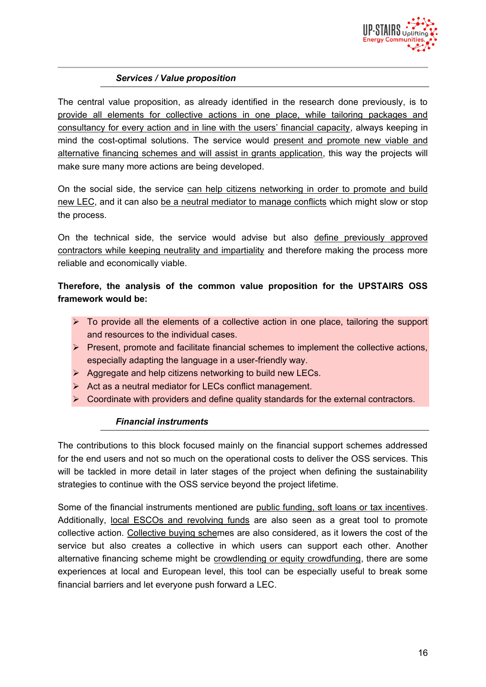

#### *Services / Value proposition*

The central value proposition, as already identified in the research done previously, is to provide all elements for collective actions in one place, while tailoring packages and consultancy for every action and in line with the users' financial capacity, always keeping in mind the cost-optimal solutions. The service would present and promote new viable and alternative financing schemes and will assist in grants application, this way the projects will make sure many more actions are being developed.

On the social side, the service can help citizens networking in order to promote and build new LEC, and it can also be a neutral mediator to manage conflicts which might slow or stop the process.

On the technical side, the service would advise but also define previously approved contractors while keeping neutrality and impartiality and therefore making the process more reliable and economically viable.

#### **Therefore, the analysis of the common value proposition for the UPSTAIRS OSS framework would be:**

- > To provide all the elements of a collective action in one place, tailoring the support and resources to the individual cases.
- $\triangleright$  Present, promote and facilitate financial schemes to implement the collective actions, especially adapting the language in a user-friendly way.
- $\triangleright$  Aggregate and help citizens networking to build new LECs.
- $\triangleright$  Act as a neutral mediator for LECs conflict management.
- $\triangleright$  Coordinate with providers and define quality standards for the external contractors.

#### *Financial instruments*

The contributions to this block focused mainly on the financial support schemes addressed for the end users and not so much on the operational costs to deliver the OSS services. This will be tackled in more detail in later stages of the project when defining the sustainability strategies to continue with the OSS service beyond the project lifetime.

Some of the financial instruments mentioned are public funding, soft loans or tax incentives. Additionally, local ESCOs and revolving funds are also seen as a great tool to promote collective action. Collective buying schemes are also considered, as it lowers the cost of the service but also creates a collective in which users can support each other. Another alternative financing scheme might be crowdlending or equity crowdfunding, there are some experiences at local and European level, this tool can be especially useful to break some financial barriers and let everyone push forward a LEC.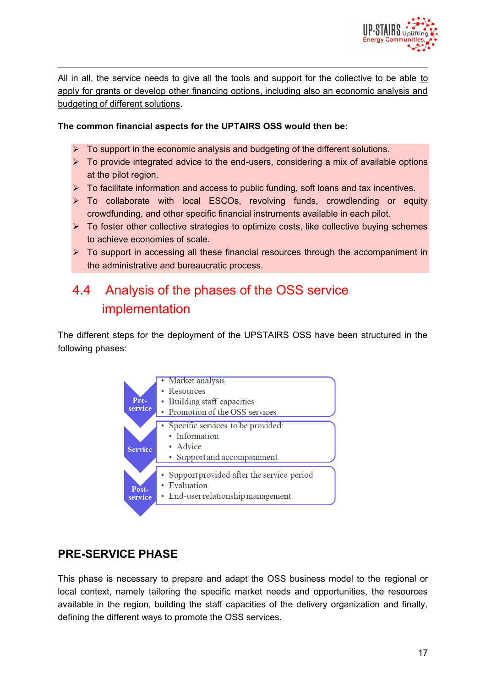

All in all, the service needs to give all the tools and support for the collective to be able to apply for grants or develop other financing options, including also an economic analysis and budgeting of different solutions.

#### **The common financial aspects for the UPTAIRS OSS would then be:**

- $\triangleright$  To support in the economic analysis and budgeting of the different solutions.
- $\triangleright$  To provide integrated advice to the end-users, considering a mix of available options at the pilot region.
- $\triangleright$  To facilitate information and access to public funding, soft loans and tax incentives.
- > To collaborate with local ESCOs, revolving funds, crowdlending or equity crowdfunding, and other specific financial instruments available in each pilot.
- $\triangleright$  To foster other collective strategies to optimize costs, like collective buying schemes to achieve economies of scale.
- $\triangleright$  To support in accessing all these financial resources through the accompaniment in the administrative and bureaucratic process.

# 4.4 Analysis of the phases of the OSS service implementation

The different steps for the deployment of the UPSTAIRS OSS have been structured in the following phases:



### **PRE-SERVICE PHASE**

This phase is necessary to prepare and adapt the OSS business model to the regional or local context, namely tailoring the specific market needs and opportunities, the resources available in the region, building the staff capacities of the delivery organization and finally, defining the different ways to promote the OSS services.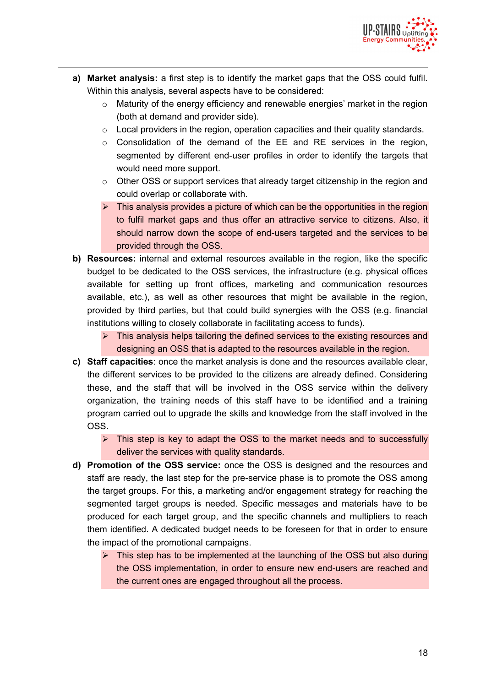

- **a) Market analysis:** a first step is to identify the market gaps that the OSS could fulfil. Within this analysis, several aspects have to be considered:
	- $\circ$  Maturity of the energy efficiency and renewable energies' market in the region (both at demand and provider side).
	- $\circ$  Local providers in the region, operation capacities and their quality standards.
	- $\circ$  Consolidation of the demand of the EE and RE services in the region, segmented by different end-user profiles in order to identify the targets that would need more support.
	- $\circ$  Other OSS or support services that already target citizenship in the region and could overlap or collaborate with.
	- $\triangleright$  This analysis provides a picture of which can be the opportunities in the region to fulfil market gaps and thus offer an attractive service to citizens. Also, it should narrow down the scope of end-users targeted and the services to be provided through the OSS.
- **b) Resources:** internal and external resources available in the region, like the specific budget to be dedicated to the OSS services, the infrastructure (e.g. physical offices available for setting up front offices, marketing and communication resources available, etc.), as well as other resources that might be available in the region, provided by third parties, but that could build synergies with the OSS (e.g. financial institutions willing to closely collaborate in facilitating access to funds).
	- $\triangleright$  This analysis helps tailoring the defined services to the existing resources and designing an OSS that is adapted to the resources available in the region.
- **c) Staff capacities**: once the market analysis is done and the resources available clear, the different services to be provided to the citizens are already defined. Considering these, and the staff that will be involved in the OSS service within the delivery organization, the training needs of this staff have to be identified and a training program carried out to upgrade the skills and knowledge from the staff involved in the OSS.
	- $\triangleright$  This step is key to adapt the OSS to the market needs and to successfully deliver the services with quality standards.
- **d) Promotion of the OSS service:** once the OSS is designed and the resources and staff are ready, the last step for the pre-service phase is to promote the OSS among the target groups. For this, a marketing and/or engagement strategy for reaching the segmented target groups is needed. Specific messages and materials have to be produced for each target group, and the specific channels and multipliers to reach them identified. A dedicated budget needs to be foreseen for that in order to ensure the impact of the promotional campaigns.
	- $\triangleright$  This step has to be implemented at the launching of the OSS but also during the OSS implementation, in order to ensure new end-users are reached and the current ones are engaged throughout all the process.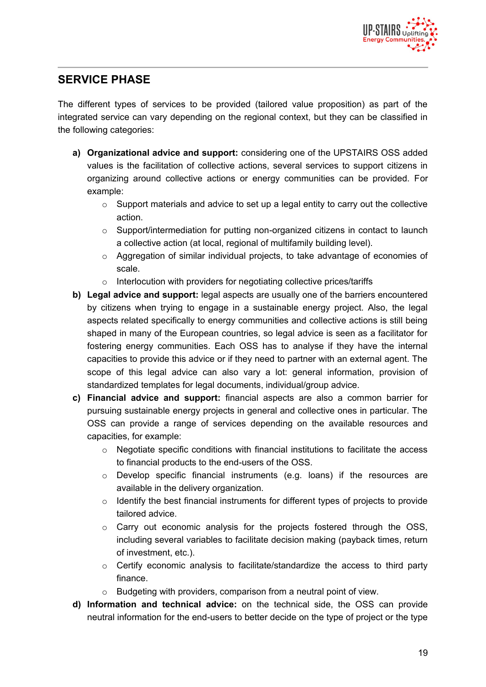

### **SERVICE PHASE**

The different types of services to be provided (tailored value proposition) as part of the integrated service can vary depending on the regional context, but they can be classified in the following categories:

- **a) Organizational advice and support:** considering one of the UPSTAIRS OSS added values is the facilitation of collective actions, several services to support citizens in organizing around collective actions or energy communities can be provided. For example:
	- $\circ$  Support materials and advice to set up a legal entity to carry out the collective action.
	- $\circ$  Support/intermediation for putting non-organized citizens in contact to launch a collective action (at local, regional of multifamily building level).
	- $\circ$  Aggregation of similar individual projects, to take advantage of economies of scale.
	- o Interlocution with providers for negotiating collective prices/tariffs
- **b) Legal advice and support:** legal aspects are usually one of the barriers encountered by citizens when trying to engage in a sustainable energy project. Also, the legal aspects related specifically to energy communities and collective actions is still being shaped in many of the European countries, so legal advice is seen as a facilitator for fostering energy communities. Each OSS has to analyse if they have the internal capacities to provide this advice or if they need to partner with an external agent. The scope of this legal advice can also vary a lot: general information, provision of standardized templates for legal documents, individual/group advice.
- **c) Financial advice and support:** financial aspects are also a common barrier for pursuing sustainable energy projects in general and collective ones in particular. The OSS can provide a range of services depending on the available resources and capacities, for example:
	- $\circ$  Negotiate specific conditions with financial institutions to facilitate the access to financial products to the end-users of the OSS.
	- o Develop specific financial instruments (e.g. loans) if the resources are available in the delivery organization.
	- $\circ$  Identify the best financial instruments for different types of projects to provide tailored advice.
	- $\circ$  Carry out economic analysis for the projects fostered through the OSS, including several variables to facilitate decision making (payback times, return of investment, etc.).
	- o Certify economic analysis to facilitate/standardize the access to third party finance.
	- o Budgeting with providers, comparison from a neutral point of view.
- **d) Information and technical advice:** on the technical side, the OSS can provide neutral information for the end-users to better decide on the type of project or the type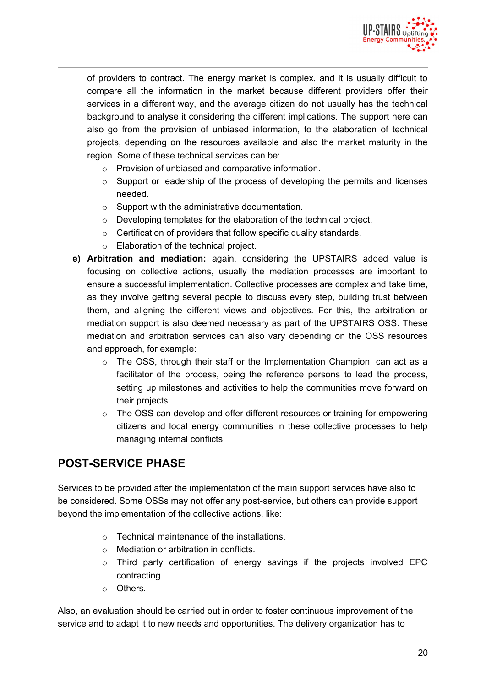

of providers to contract. The energy market is complex, and it is usually difficult to compare all the information in the market because different providers offer their services in a different way, and the average citizen do not usually has the technical background to analyse it considering the different implications. The support here can also go from the provision of unbiased information, to the elaboration of technical projects, depending on the resources available and also the market maturity in the region. Some of these technical services can be:

- o Provision of unbiased and comparative information.
- $\circ$  Support or leadership of the process of developing the permits and licenses needed.
- o Support with the administrative documentation.
- o Developing templates for the elaboration of the technical project.
- $\circ$  Certification of providers that follow specific quality standards.
- o Elaboration of the technical project.
- **e) Arbitration and mediation:** again, considering the UPSTAIRS added value is focusing on collective actions, usually the mediation processes are important to ensure a successful implementation. Collective processes are complex and take time, as they involve getting several people to discuss every step, building trust between them, and aligning the different views and objectives. For this, the arbitration or mediation support is also deemed necessary as part of the UPSTAIRS OSS. These mediation and arbitration services can also vary depending on the OSS resources and approach, for example:
	- $\circ$  The OSS, through their staff or the Implementation Champion, can act as a facilitator of the process, being the reference persons to lead the process, setting up milestones and activities to help the communities move forward on their projects.
	- $\circ$  The OSS can develop and offer different resources or training for empowering citizens and local energy communities in these collective processes to help managing internal conflicts.

### **POST-SERVICE PHASE**

Services to be provided after the implementation of the main support services have also to be considered. Some OSSs may not offer any post-service, but others can provide support beyond the implementation of the collective actions, like:

- $\circ$  Technical maintenance of the installations.
- o Mediation or arbitration in conflicts.
- o Third party certification of energy savings if the projects involved EPC contracting.
- o Others.

Also, an evaluation should be carried out in order to foster continuous improvement of the service and to adapt it to new needs and opportunities. The delivery organization has to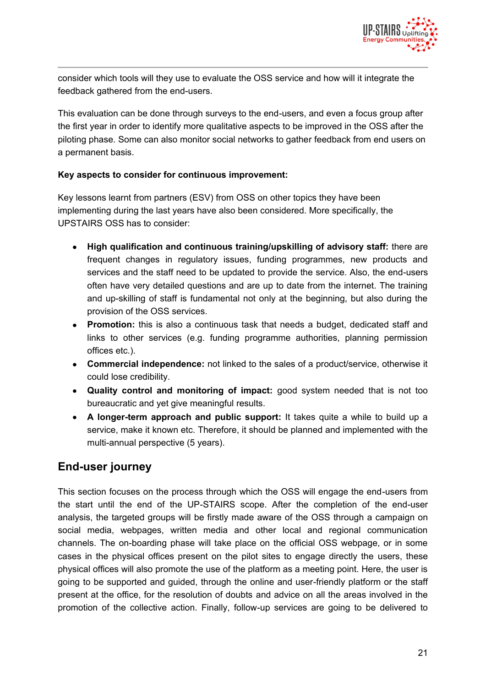

consider which tools will they use to evaluate the OSS service and how will it integrate the feedback gathered from the end-users.

This evaluation can be done through surveys to the end-users, and even a focus group after the first year in order to identify more qualitative aspects to be improved in the OSS after the piloting phase. Some can also monitor social networks to gather feedback from end users on a permanent basis.

#### **Key aspects to consider for continuous improvement:**

Key lessons learnt from partners (ESV) from OSS on other topics they have been implementing during the last years have also been considered. More specifically, the UPSTAIRS OSS has to consider:

- **High qualification and continuous training/upskilling of advisory staff:** there are frequent changes in regulatory issues, funding programmes, new products and services and the staff need to be updated to provide the service. Also, the end-users often have very detailed questions and are up to date from the internet. The training and up-skilling of staff is fundamental not only at the beginning, but also during the provision of the OSS services.
- **Promotion:** this is also a continuous task that needs a budget, dedicated staff and links to other services (e.g. funding programme authorities, planning permission offices etc.).
- **Commercial independence:** not linked to the sales of a product/service, otherwise it could lose credibility.
- **Quality control and monitoring of impact:** good system needed that is not too bureaucratic and yet give meaningful results.
- **A longer-term approach and public support:** It takes quite a while to build up a service, make it known etc. Therefore, it should be planned and implemented with the multi-annual perspective (5 years).

### **End-user journey**

This section focuses on the process through which the OSS will engage the end-users from the start until the end of the UP-STAIRS scope. After the completion of the end-user analysis, the targeted groups will be firstly made aware of the OSS through a campaign on social media, webpages, written media and other local and regional communication channels. The on-boarding phase will take place on the official OSS webpage, or in some cases in the physical offices present on the pilot sites to engage directly the users, these physical offices will also promote the use of the platform as a meeting point. Here, the user is going to be supported and guided, through the online and user-friendly platform or the staff present at the office, for the resolution of doubts and advice on all the areas involved in the promotion of the collective action. Finally, follow-up services are going to be delivered to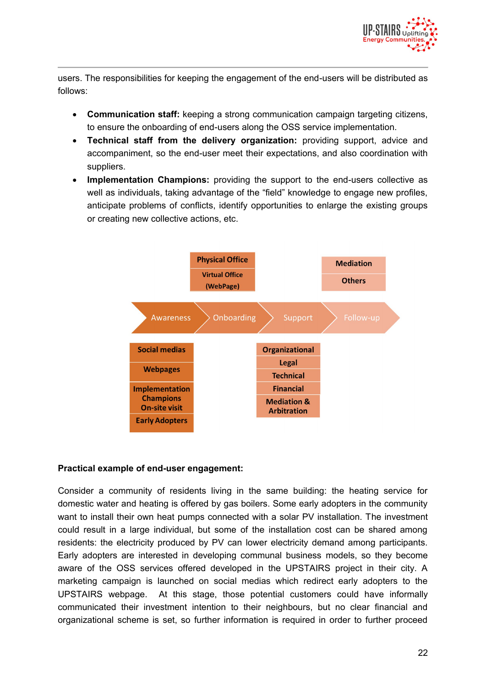

users. The responsibilities for keeping the engagement of the end-users will be distributed as follows:

- **Communication staff:** keeping a strong communication campaign targeting citizens, to ensure the onboarding of end-users along the OSS service implementation.
- **Technical staff from the delivery organization:** providing support, advice and accompaniment, so the end-user meet their expectations, and also coordination with suppliers.
- **Implementation Champions:** providing the support to the end-users collective as well as individuals, taking advantage of the "field" knowledge to engage new profiles, anticipate problems of conflicts, identify opportunities to enlarge the existing groups or creating new collective actions, etc.



#### **Practical example of end-user engagement:**

Consider a community of residents living in the same building: the heating service for domestic water and heating is offered by gas boilers. Some early adopters in the community want to install their own heat pumps connected with a solar PV installation. The investment could result in a large individual, but some of the installation cost can be shared among residents: the electricity produced by PV can lower electricity demand among participants. Early adopters are interested in developing communal business models, so they become aware of the OSS services offered developed in the UPSTAIRS project in their city. A marketing campaign is launched on social medias which redirect early adopters to the UPSTAIRS webpage. At this stage, those potential customers could have informally communicated their investment intention to their neighbours, but no clear financial and organizational scheme is set, so further information is required in order to further proceed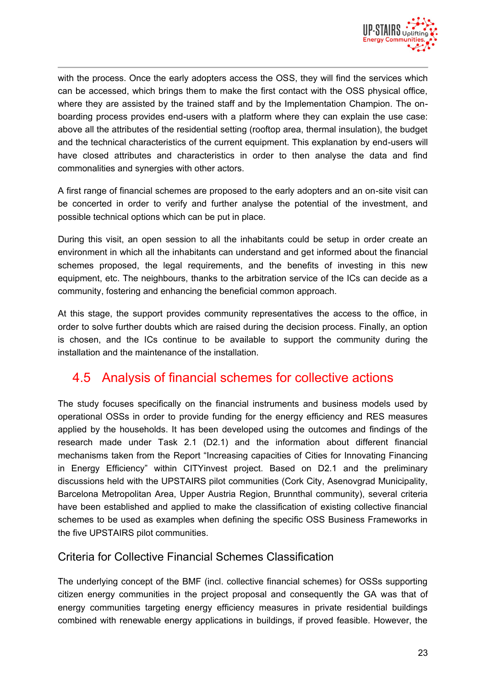

with the process. Once the early adopters access the OSS, they will find the services which can be accessed, which brings them to make the first contact with the OSS physical office, where they are assisted by the trained staff and by the Implementation Champion. The onboarding process provides end-users with a platform where they can explain the use case: above all the attributes of the residential setting (rooftop area, thermal insulation), the budget and the technical characteristics of the current equipment. This explanation by end-users will have closed attributes and characteristics in order to then analyse the data and find commonalities and synergies with other actors.

A first range of financial schemes are proposed to the early adopters and an on-site visit can be concerted in order to verify and further analyse the potential of the investment, and possible technical options which can be put in place.

During this visit, an open session to all the inhabitants could be setup in order create an environment in which all the inhabitants can understand and get informed about the financial schemes proposed, the legal requirements, and the benefits of investing in this new equipment, etc. The neighbours, thanks to the arbitration service of the ICs can decide as a community, fostering and enhancing the beneficial common approach.

At this stage, the support provides community representatives the access to the office, in order to solve further doubts which are raised during the decision process. Finally, an option is chosen, and the ICs continue to be available to support the community during the installation and the maintenance of the installation.

### 4.5 Analysis of financial schemes for collective actions

The study focuses specifically on the financial instruments and business models used by operational OSSs in order to provide funding for the energy efficiency and RES measures applied by the households. It has been developed using the outcomes and findings of the research made under Task 2.1 (D2.1) and the information about different financial mechanisms taken from the Report "Increasing capacities of Cities for Innovating Financing in Energy Efficiency" within CITYinvest project. Based on D2.1 and the preliminary discussions held with the UPSTAIRS pilot communities (Cork City, Asenovgrad Municipality, Barcelona Metropolitan Area, Upper Austria Region, Brunnthal community), several criteria have been established and applied to make the classification of existing collective financial schemes to be used as examples when defining the specific OSS Business Frameworks in the five UPSTAIRS pilot communities.

#### Criteria for Collective Financial Schemes Classification

The underlying concept of the BMF (incl. collective financial schemes) for OSSs supporting citizen energy communities in the project proposal and consequently the GA was that of energy communities targeting energy efficiency measures in private residential buildings combined with renewable energy applications in buildings, if proved feasible. However, the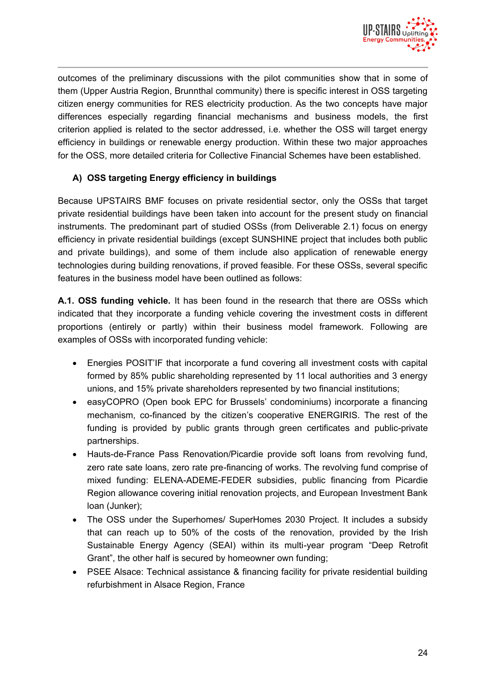

outcomes of the preliminary discussions with the pilot communities show that in some of them (Upper Austria Region, Brunnthal community) there is specific interest in OSS targeting citizen energy communities for RES electricity production. As the two concepts have major differences especially regarding financial mechanisms and business models, the first criterion applied is related to the sector addressed, i.e. whether the OSS will target energy efficiency in buildings or renewable energy production. Within these two major approaches for the OSS, more detailed criteria for Collective Financial Schemes have been established.

#### **A) OSS targeting Energy efficiency in buildings**

Because UPSTAIRS BMF focuses on private residential sector, only the OSSs that target private residential buildings have been taken into account for the present study on financial instruments. The predominant part of studied OSSs (from Deliverable 2.1) focus on energy efficiency in private residential buildings (except SUNSHINE project that includes both public and private buildings), and some of them include also application of renewable energy technologies during building renovations, if proved feasible. For these OSSs, several specific features in the business model have been outlined as follows:

**A.1. OSS funding vehicle.** It has been found in the research that there are OSSs which indicated that they incorporate a funding vehicle covering the investment costs in different proportions (entirely or partly) within their business model framework. Following are examples of OSSs with incorporated funding vehicle:

- Energies POSIT'IF that incorporate a fund covering all investment costs with capital formed by 85% public shareholding represented by 11 local authorities and 3 energy unions, and 15% private shareholders represented by two financial institutions;
- easyCOPRO (Open book EPC for Brussels' condominiums) incorporate a financing mechanism, co-financed by the citizen's cooperative ENERGIRIS. The rest of the funding is provided by public grants through green certificates and public-private partnerships.
- Hauts-de-France Pass Renovation/Picardie provide soft loans from revolving fund, zero rate sate loans, zero rate pre-financing of works. The revolving fund comprise of mixed funding: ELENA-ADEME-FEDER subsidies, public financing from Picardie Region allowance covering initial renovation projects, and European Investment Bank loan (Junker);
- The OSS under the Superhomes/ SuperHomes 2030 Project. It includes a subsidy that can reach up to 50% of the costs of the renovation, provided by the Irish Sustainable Energy Agency (SEAI) within its multi-year program "Deep Retrofit Grant", the other half is secured by homeowner own funding;
- PSEE Alsace: Technical assistance & financing facility for private residential building refurbishment in Alsace Region, France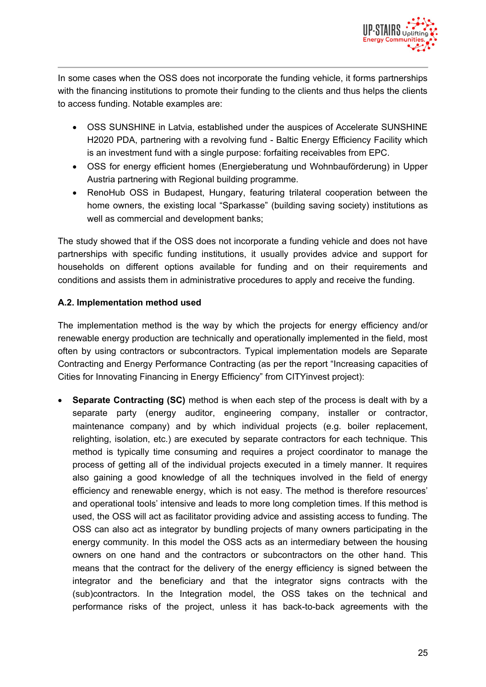

In some cases when the OSS does not incorporate the funding vehicle, it forms partnerships with the financing institutions to promote their funding to the clients and thus helps the clients to access funding. Notable examples are:

- OSS SUNSHINE in Latvia, established under the auspices of Accelerate SUNSHINE H2020 PDA, partnering with a revolving fund - Baltic Energy Efficiency Facility which is an investment fund with a single purpose: forfaiting receivables from EPC.
- OSS for energy efficient homes (Energieberatung und Wohnbauförderung) in Upper Austria partnering with Regional building programme.
- RenoHub OSS in Budapest, Hungary, featuring trilateral cooperation between the home owners, the existing local "Sparkasse" (building saving society) institutions as well as commercial and development banks;

The study showed that if the OSS does not incorporate a funding vehicle and does not have partnerships with specific funding institutions, it usually provides advice and support for households on different options available for funding and on their requirements and conditions and assists them in administrative procedures to apply and receive the funding.

#### **A.2. Implementation method used**

The implementation method is the way by which the projects for energy efficiency and/or renewable energy production are technically and operationally implemented in the field, most often by using contractors or subcontractors. Typical implementation models are Separate Contracting and Energy Performance Contracting (as per the report "Increasing capacities of Cities for Innovating Financing in Energy Efficiency" from CITYinvest project):

 **Separate Contracting (SC)** method is when each step of the process is dealt with by a separate party (energy auditor, engineering company, installer or contractor, maintenance company) and by which individual projects (e.g. boiler replacement, relighting, isolation, etc.) are executed by separate contractors for each technique. This method is typically time consuming and requires a project coordinator to manage the process of getting all of the individual projects executed in a timely manner. It requires also gaining a good knowledge of all the techniques involved in the field of energy efficiency and renewable energy, which is not easy. The method is therefore resources' and operational tools' intensive and leads to more long completion times. If this method is used, the OSS will act as facilitator providing advice and assisting access to funding. The OSS can also act as integrator by bundling projects of many owners participating in the energy community. In this model the OSS acts as an intermediary between the housing owners on one hand and the contractors or subcontractors on the other hand. This means that the contract for the delivery of the energy efficiency is signed between the integrator and the beneficiary and that the integrator signs contracts with the (sub)contractors. In the Integration model, the OSS takes on the technical and performance risks of the project, unless it has back-to-back agreements with the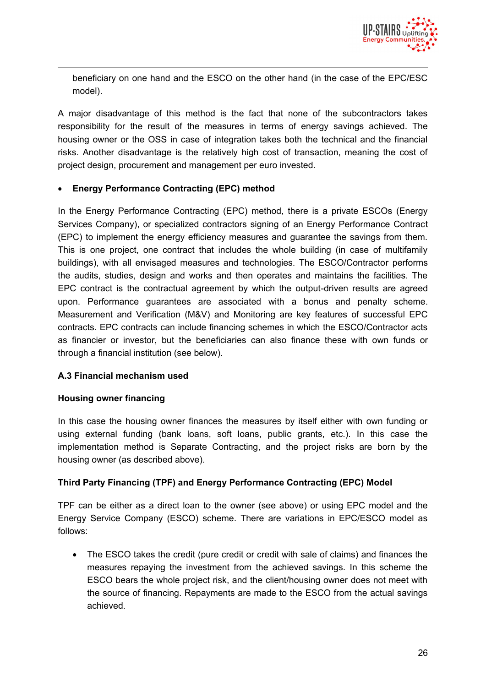

beneficiary on one hand and the ESCO on the other hand (in the case of the EPC/ESC model).

A major disadvantage of this method is the fact that none of the subcontractors takes responsibility for the result of the measures in terms of energy savings achieved. The housing owner or the OSS in case of integration takes both the technical and the financial risks. Another disadvantage is the relatively high cost of transaction, meaning the cost of project design, procurement and management per euro invested.

#### **Energy Performance Contracting (EPC) method**

In the Energy Performance Contracting (EPC) method, there is a private ESCOs (Energy Services Company), or specialized contractors signing of an Energy Performance Contract (EPC) to implement the energy efficiency measures and guarantee the savings from them. This is one project, one contract that includes the whole building (in case of multifamily buildings), with all envisaged measures and technologies. The ESCO/Contractor performs the audits, studies, design and works and then operates and maintains the facilities. The EPC contract is the contractual agreement by which the output-driven results are agreed upon. Performance guarantees are associated with a bonus and penalty scheme. Measurement and Verification (M&V) and Monitoring are key features of successful EPC contracts. EPC contracts can include financing schemes in which the ESCO/Contractor acts as financier or investor, but the beneficiaries can also finance these with own funds or through a financial institution (see below).

#### **A.3 Financial mechanism used**

#### **Housing owner financing**

In this case the housing owner finances the measures by itself either with own funding or using external funding (bank loans, soft loans, public grants, etc.). In this case the implementation method is Separate Contracting, and the project risks are born by the housing owner (as described above).

#### **Third Party Financing (TPF) and Energy Performance Contracting (EPC) Model**

TPF can be either as a direct loan to the owner (see above) or using EPC model and the Energy Service Company (ESCO) scheme. There are variations in EPC/ESCO model as follows:

 The ESCO takes the credit (pure credit or credit with sale of claims) and finances the measures repaying the investment from the achieved savings. In this scheme the ESCO bears the whole project risk, and the client/housing owner does not meet with the source of financing. Repayments are made to the ESCO from the actual savings achieved.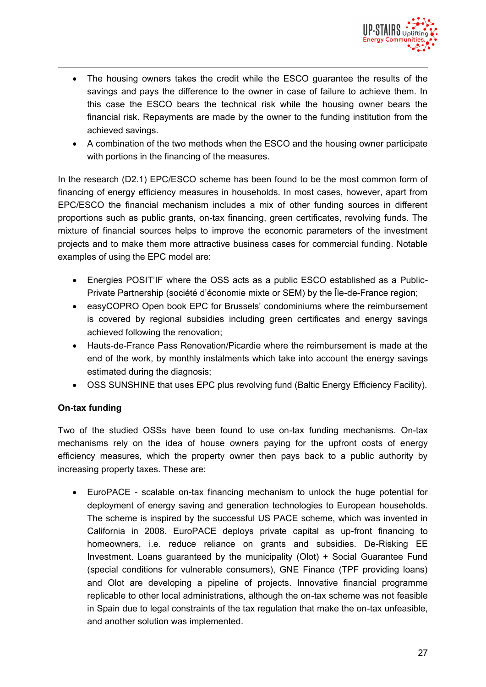

- The housing owners takes the credit while the ESCO guarantee the results of the savings and pays the difference to the owner in case of failure to achieve them. In this case the ESCO bears the technical risk while the housing owner bears the financial risk. Repayments are made by the owner to the funding institution from the achieved savings.
- A combination of the two methods when the ESCO and the housing owner participate with portions in the financing of the measures.

In the research (D2.1) EPC/ESCO scheme has been found to be the most common form of financing of energy efficiency measures in households. In most cases, however, apart from EPC/ESCO the financial mechanism includes a mix of other funding sources in different proportions such as public grants, on-tax financing, green certificates, revolving funds. The mixture of financial sources helps to improve the economic parameters of the investment projects and to make them more attractive business cases for commercial funding. Notable examples of using the EPC model are:

- Energies POSIT'IF where the OSS acts as a public ESCO established as a Public-Private Partnership (société d'économie mixte or SEM) by the Île-de-France region;
- easyCOPRO Open book EPC for Brussels' condominiums where the reimbursement is covered by regional subsidies including green certificates and energy savings achieved following the renovation;
- Hauts-de-France Pass Renovation/Picardie where the reimbursement is made at the end of the work, by monthly instalments which take into account the energy savings estimated during the diagnosis;
- OSS SUNSHINE that uses EPC plus revolving fund (Baltic Energy Efficiency Facility).

#### **On-tax funding**

Two of the studied OSSs have been found to use on-tax funding mechanisms. On-tax mechanisms rely on the idea of house owners paying for the upfront costs of energy efficiency measures, which the property owner then pays back to a public authority by increasing property taxes. These are:

 EuroPACE - scalable on-tax financing mechanism to unlock the huge potential for deployment of energy saving and generation technologies to European households. The scheme is inspired by the successful US PACE scheme, which was invented in California in 2008. EuroPACE deploys private capital as up-front financing to homeowners, i.e. reduce reliance on grants and subsidies. De-Risking EE Investment. Loans guaranteed by the municipality (Olot) + Social Guarantee Fund (special conditions for vulnerable consumers), GNE Finance (TPF providing loans) and Olot are developing a pipeline of projects. Innovative financial programme replicable to other local administrations, although the on-tax scheme was not feasible in Spain due to legal constraints of the tax regulation that make the on-tax unfeasible, and another solution was implemented.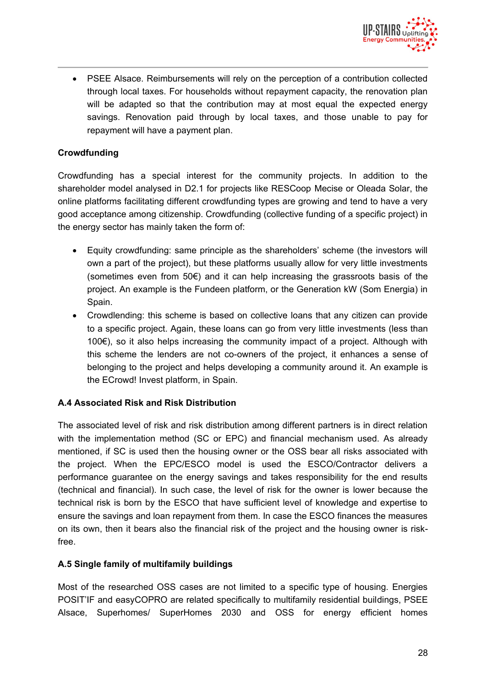

 PSEE Alsace. Reimbursements will rely on the perception of a contribution collected through local taxes. For households without repayment capacity, the renovation plan will be adapted so that the contribution may at most equal the expected energy savings. Renovation paid through by local taxes, and those unable to pay for repayment will have a payment plan.

#### **Crowdfunding**

Crowdfunding has a special interest for the community projects. In addition to the shareholder model analysed in D2.1 for projects like RESCoop Mecise or Oleada Solar, the online platforms facilitating different crowdfunding types are growing and tend to have a very good acceptance among citizenship. Crowdfunding (collective funding of a specific project) in the energy sector has mainly taken the form of:

- Equity crowdfunding: same principle as the shareholders' scheme (the investors will own a part of the project), but these platforms usually allow for very little investments (sometimes even from 50€) and it can help increasing the grassroots basis of the project. An example is the Fundeen platform, or the Generation kW (Som Energia) in Spain.
- Crowdlending: this scheme is based on collective loans that any citizen can provide to a specific project. Again, these loans can go from very little investments (less than 100€), so it also helps increasing the community impact of a project. Although with this scheme the lenders are not co-owners of the project, it enhances a sense of belonging to the project and helps developing a community around it. An example is the ECrowd! Invest platform, in Spain.

#### **A.4 Associated Risk and Risk Distribution**

The associated level of risk and risk distribution among different partners is in direct relation with the implementation method (SC or EPC) and financial mechanism used. As already mentioned, if SC is used then the housing owner or the OSS bear all risks associated with the project. When the EPC/ESCO model is used the ESCO/Contractor delivers a performance guarantee on the energy savings and takes responsibility for the end results (technical and financial). In such case, the level of risk for the owner is lower because the technical risk is born by the ESCO that have sufficient level of knowledge and expertise to ensure the savings and loan repayment from them. In case the ESCO finances the measures on its own, then it bears also the financial risk of the project and the housing owner is riskfree.

#### **A.5 Single family of multifamily buildings**

Most of the researched OSS cases are not limited to a specific type of housing. Energies POSIT'IF and easyCOPRO are related specifically to multifamily residential buildings, PSEE Alsace, Superhomes/ SuperHomes 2030 and OSS for energy efficient homes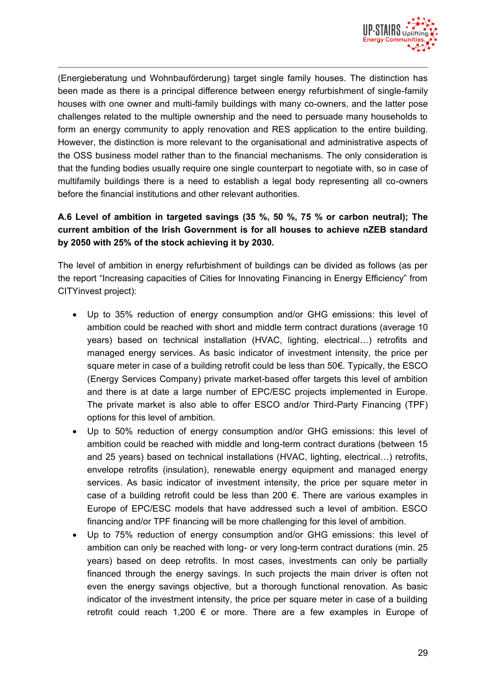

(Energieberatung und Wohnbauförderung) target single family houses. The distinction has been made as there is a principal difference between energy refurbishment of single-family houses with one owner and multi-family buildings with many co-owners, and the latter pose challenges related to the multiple ownership and the need to persuade many households to form an energy community to apply renovation and RES application to the entire building. However, the distinction is more relevant to the organisational and administrative aspects of the OSS business model rather than to the financial mechanisms. The only consideration is that the funding bodies usually require one single counterpart to negotiate with, so in case of multifamily buildings there is a need to establish a legal body representing all co-owners before the financial institutions and other relevant authorities.

#### **A.6 Level of ambition in targeted savings (35 %, 50 %, 75 % or carbon neutral); The current ambition of the Irish Government is for all houses to achieve nZEB standard by 2050 with 25% of the stock achieving it by 2030.**

The level of ambition in energy refurbishment of buildings can be divided as follows (as per the report "Increasing capacities of Cities for Innovating Financing in Energy Efficiency" from CITYinvest project):

- Up to 35% reduction of energy consumption and/or GHG emissions: this level of ambition could be reached with short and middle term contract durations (average 10 years) based on technical installation (HVAC, lighting, electrical…) retrofits and managed energy services. As basic indicator of investment intensity, the price per square meter in case of a building retrofit could be less than 50€. Typically, the ESCO (Energy Services Company) private market-based offer targets this level of ambition and there is at date a large number of EPC/ESC projects implemented in Europe. The private market is also able to offer ESCO and/or Third-Party Financing (TPF) options for this level of ambition.
- Up to 50% reduction of energy consumption and/or GHG emissions: this level of ambition could be reached with middle and long-term contract durations (between 15 and 25 years) based on technical installations (HVAC, lighting, electrical…) retrofits, envelope retrofits (insulation), renewable energy equipment and managed energy services. As basic indicator of investment intensity, the price per square meter in case of a building retrofit could be less than 200  $\epsilon$ . There are various examples in Europe of EPC/ESC models that have addressed such a level of ambition. ESCO financing and/or TPF financing will be more challenging for this level of ambition.
- Up to 75% reduction of energy consumption and/or GHG emissions: this level of ambition can only be reached with long- or very long-term contract durations (min. 25 years) based on deep retrofits. In most cases, investments can only be partially financed through the energy savings. In such projects the main driver is often not even the energy savings objective, but a thorough functional renovation. As basic indicator of the investment intensity, the price per square meter in case of a building retrofit could reach 1,200  $\epsilon$  or more. There are a few examples in Europe of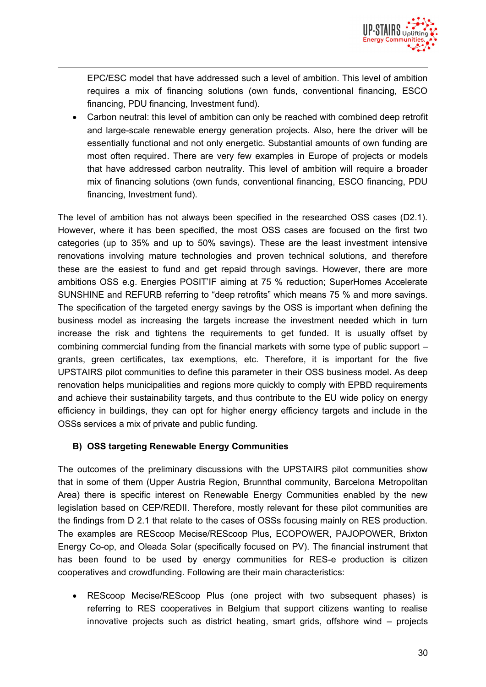

EPC/ESC model that have addressed such a level of ambition. This level of ambition requires a mix of financing solutions (own funds, conventional financing, ESCO financing, PDU financing, Investment fund).

 Carbon neutral: this level of ambition can only be reached with combined deep retrofit and large-scale renewable energy generation projects. Also, here the driver will be essentially functional and not only energetic. Substantial amounts of own funding are most often required. There are very few examples in Europe of projects or models that have addressed carbon neutrality. This level of ambition will require a broader mix of financing solutions (own funds, conventional financing, ESCO financing, PDU financing, Investment fund).

The level of ambition has not always been specified in the researched OSS cases (D2.1). However, where it has been specified, the most OSS cases are focused on the first two categories (up to 35% and up to 50% savings). These are the least investment intensive renovations involving mature technologies and proven technical solutions, and therefore these are the easiest to fund and get repaid through savings. However, there are more ambitions OSS e.g. Energies POSIT'IF aiming at 75 % reduction; SuperHomes Accelerate SUNSHINE and REFURB referring to "deep retrofits" which means 75 % and more savings. The specification of the targeted energy savings by the OSS is important when defining the business model as increasing the targets increase the investment needed which in turn increase the risk and tightens the requirements to get funded. It is usually offset by combining commercial funding from the financial markets with some type of public support – grants, green certificates, tax exemptions, etc. Therefore, it is important for the five UPSTAIRS pilot communities to define this parameter in their OSS business model. As deep renovation helps municipalities and regions more quickly to comply with EPBD requirements and achieve their sustainability targets, and thus contribute to the EU wide policy on energy efficiency in buildings, they can opt for higher energy efficiency targets and include in the OSSs services a mix of private and public funding.

#### **B) OSS targeting Renewable Energy Communities**

The outcomes of the preliminary discussions with the UPSTAIRS pilot communities show that in some of them (Upper Austria Region, Brunnthal community, Barcelona Metropolitan Area) there is specific interest on Renewable Energy Communities enabled by the new legislation based on CEP/REDII. Therefore, mostly relevant for these pilot communities are the findings from D 2.1 that relate to the cases of OSSs focusing mainly on RES production. The examples are REScoop Mecise/REScoop Plus, ECOPOWER, PAJOPOWER, Brixton Energy Co-op, and Oleada Solar (specifically focused on PV). The financial instrument that has been found to be used by energy communities for RES-e production is citizen cooperatives and crowdfunding. Following are their main characteristics:

 REScoop Mecise/REScoop Plus (one project with two subsequent phases) is referring to RES cooperatives in Belgium that support citizens wanting to realise innovative projects such as district heating, smart grids, offshore wind – projects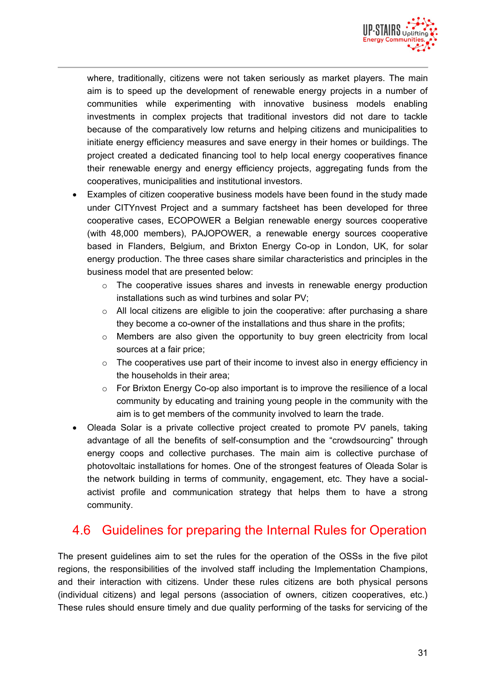

where, traditionally, citizens were not taken seriously as market players. The main aim is to speed up the development of renewable energy projects in a number of communities while experimenting with innovative business models enabling investments in complex projects that traditional investors did not dare to tackle because of the comparatively low returns and helping citizens and municipalities to initiate energy efficiency measures and save energy in their homes or buildings. The project created a dedicated financing tool to help local energy cooperatives finance their renewable energy and energy efficiency projects, aggregating funds from the cooperatives, municipalities and institutional investors.

- Examples of citizen cooperative business models have been found in the study made under CITYnvest Project and a summary factsheet has been developed for three cooperative cases, ECOPOWER a Belgian renewable energy sources cooperative (with 48,000 members), PAJOPOWER, a renewable energy sources cooperative based in Flanders, Belgium, and Brixton Energy Co-op in London, UK, for solar energy production. The three cases share similar characteristics and principles in the business model that are presented below:
	- $\circ$  The cooperative issues shares and invests in renewable energy production installations such as wind turbines and solar PV;
	- $\circ$  All local citizens are eligible to join the cooperative: after purchasing a share they become a co-owner of the installations and thus share in the profits;
	- $\circ$  Members are also given the opportunity to buy green electricity from local sources at a fair price;
	- o The cooperatives use part of their income to invest also in energy efficiency in the households in their area;
	- $\circ$  For Brixton Energy Co-op also important is to improve the resilience of a local community by educating and training young people in the community with the aim is to get members of the community involved to learn the trade.
- Oleada Solar is a private collective project created to promote PV panels, taking advantage of all the benefits of self-consumption and the "crowdsourcing" through energy coops and collective purchases. The main aim is collective purchase of photovoltaic installations for homes. One of the strongest features of Oleada Solar is the network building in terms of community, engagement, etc. They have a socialactivist profile and communication strategy that helps them to have a strong community.

### 4.6 Guidelines for preparing the Internal Rules for Operation

The present guidelines aim to set the rules for the operation of the OSSs in the five pilot regions, the responsibilities of the involved staff including the Implementation Champions, and their interaction with citizens. Under these rules citizens are both physical persons (individual citizens) and legal persons (association of owners, citizen cooperatives, etc.) These rules should ensure timely and due quality performing of the tasks for servicing of the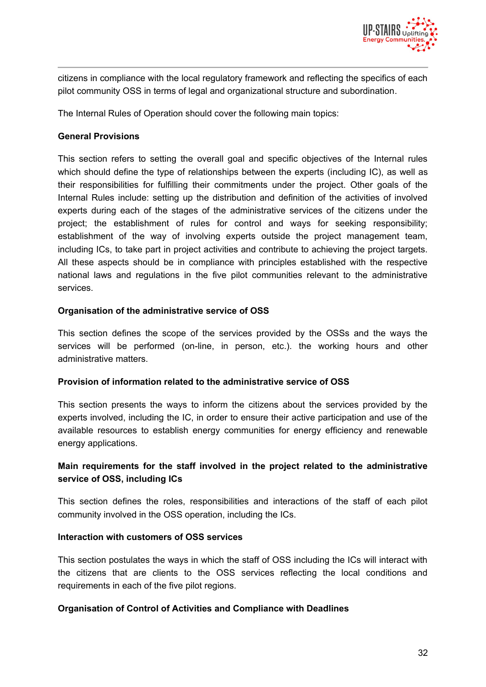

citizens in compliance with the local regulatory framework and reflecting the specifics of each pilot community OSS in terms of legal and organizational structure and subordination.

The Internal Rules of Operation should cover the following main topics:

#### **General Provisions**

This section refers to setting the overall goal and specific objectives of the Internal rules which should define the type of relationships between the experts (including IC), as well as their responsibilities for fulfilling their commitments under the project. Other goals of the Internal Rules include: setting up the distribution and definition of the activities of involved experts during each of the stages of the administrative services of the citizens under the project; the establishment of rules for control and ways for seeking responsibility; establishment of the way of involving experts outside the project management team, including ICs, to take part in project activities and contribute to achieving the project targets. All these aspects should be in compliance with principles established with the respective national laws and regulations in the five pilot communities relevant to the administrative services.

#### **Organisation of the administrative service of OSS**

This section defines the scope of the services provided by the OSSs and the ways the services will be performed (on-line, in person, etc.). the working hours and other administrative matters.

#### **Provision of information related to the administrative service of OSS**

This section presents the ways to inform the citizens about the services provided by the experts involved, including the IC, in order to ensure their active participation and use of the available resources to establish energy communities for energy efficiency and renewable energy applications.

#### **Main requirements for the staff involved in the project related to the administrative service of OSS, including ICs**

This section defines the roles, responsibilities and interactions of the staff of each pilot community involved in the OSS operation, including the ICs.

#### **Interaction with customers of OSS services**

This section postulates the ways in which the staff of OSS including the ICs will interact with the citizens that are clients to the OSS services reflecting the local conditions and requirements in each of the five pilot regions.

#### **Organisation of Control of Activities and Compliance with Deadlines**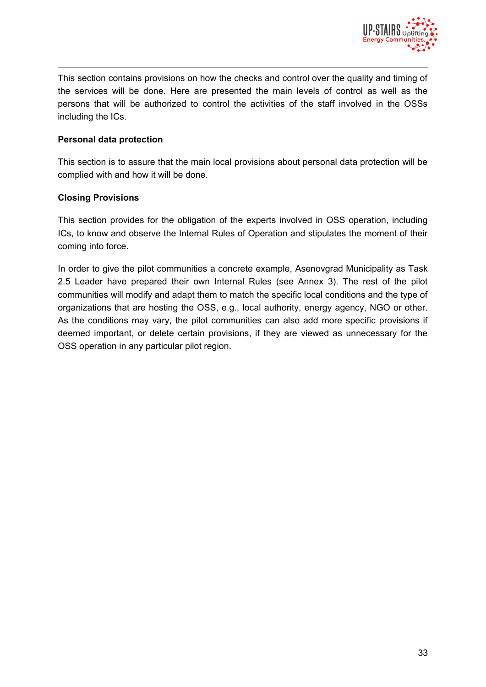

This section contains provisions on how the checks and control over the quality and timing of the services will be done. Here are presented the main levels of control as well as the persons that will be authorized to control the activities of the staff involved in the OSSs including the ICs.

#### **Personal data protection**

This section is to assure that the main local provisions about personal data protection will be complied with and how it will be done.

#### **Closing Provisions**

This section provides for the obligation of the experts involved in OSS operation, including ICs, to know and observe the Internal Rules of Operation and stipulates the moment of their coming into force.

In order to give the pilot communities a concrete example, Asenovgrad Municipality as Task 2.5 Leader have prepared their own Internal Rules (see Annex 3). The rest of the pilot communities will modify and adapt them to match the specific local conditions and the type of organizations that are hosting the OSS, e.g., local authority, energy agency, NGO or other. As the conditions may vary, the pilot communities can also add more specific provisions if deemed important, or delete certain provisions, if they are viewed as unnecessary for the OSS operation in any particular pilot region.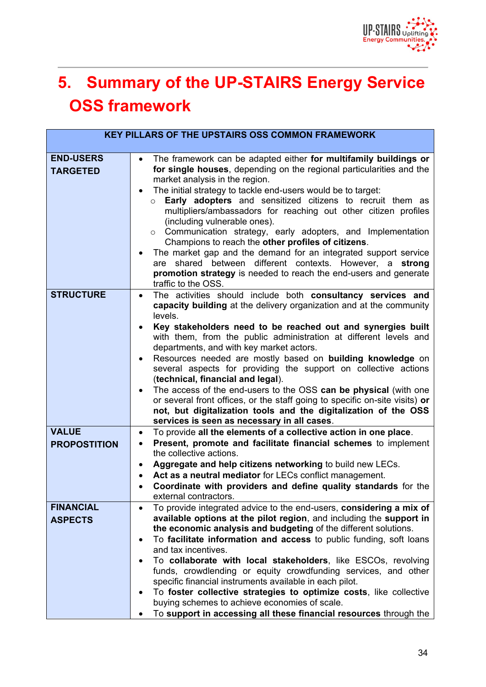

# **5. Summary of the UP-STAIRS Energy Service OSS framework**

|                                     | <b>KEY PILLARS OF THE UPSTAIRS OSS COMMON FRAMEWORK</b>                                                                                                                                                                                                                                                                                                                                                                                                                                                                                                                                                                                                                                                                                                                                  |
|-------------------------------------|------------------------------------------------------------------------------------------------------------------------------------------------------------------------------------------------------------------------------------------------------------------------------------------------------------------------------------------------------------------------------------------------------------------------------------------------------------------------------------------------------------------------------------------------------------------------------------------------------------------------------------------------------------------------------------------------------------------------------------------------------------------------------------------|
| <b>END-USERS</b><br><b>TARGETED</b> | The framework can be adapted either for multifamily buildings or<br>$\bullet$<br>for single houses, depending on the regional particularities and the<br>market analysis in the region.<br>The initial strategy to tackle end-users would be to target:<br>Early adopters and sensitized citizens to recruit them as<br>$\circ$<br>multipliers/ambassadors for reaching out other citizen profiles<br>(including vulnerable ones).<br>$\circ$ Communication strategy, early adopters, and Implementation<br>Champions to reach the other profiles of citizens.<br>The market gap and the demand for an integrated support service<br>are shared between different contexts. However, a strong<br>promotion strategy is needed to reach the end-users and generate<br>traffic to the OSS. |
| <b>STRUCTURE</b>                    | The activities should include both consultancy services and<br>$\bullet$<br>capacity building at the delivery organization and at the community<br>levels.<br>Key stakeholders need to be reached out and synergies built<br>with them, from the public administration at different levels and<br>departments, and with key market actors.<br>Resources needed are mostly based on building knowledge on<br>several aspects for providing the support on collective actions<br>(technical, financial and legal).<br>The access of the end-users to the OSS can be physical (with one<br>or several front offices, or the staff going to specific on-site visits) or<br>not, but digitalization tools and the digitalization of the OSS<br>services is seen as necessary in all cases.    |
| <b>VALUE</b><br><b>PROPOSTITION</b> | To provide all the elements of a collective action in one place.<br>$\bullet$<br>Present, promote and facilitate financial schemes to implement<br>٠<br>the collective actions.<br>Aggregate and help citizens networking to build new LECs.<br>٠<br>Act as a neutral mediator for LECs conflict management.<br>Coordinate with providers and define quality standards for the<br>external contractors.                                                                                                                                                                                                                                                                                                                                                                                  |
| <b>FINANCIAL</b><br><b>ASPECTS</b>  | To provide integrated advice to the end-users, considering a mix of<br>٠<br>available options at the pilot region, and including the support in<br>the economic analysis and budgeting of the different solutions.<br>To facilitate information and access to public funding, soft loans<br>and tax incentives.<br>To collaborate with local stakeholders, like ESCOs, revolving<br>funds, crowdlending or equity crowdfunding services, and other<br>specific financial instruments available in each pilot.<br>To foster collective strategies to optimize costs, like collective<br>buying schemes to achieve economies of scale.<br>To support in accessing all these financial resources through the                                                                                |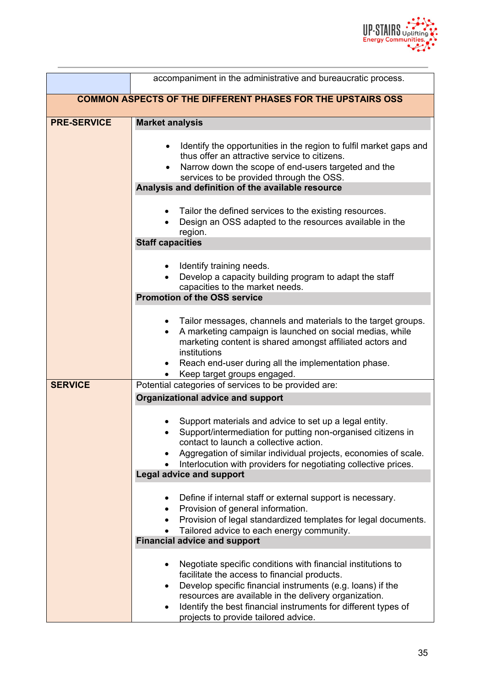

|                                                                                                                              | accompaniment in the administrative and bureaucratic process.                                                                                                                                                                                                                                                                                           |  |  |
|------------------------------------------------------------------------------------------------------------------------------|---------------------------------------------------------------------------------------------------------------------------------------------------------------------------------------------------------------------------------------------------------------------------------------------------------------------------------------------------------|--|--|
| <b>COMMON ASPECTS OF THE DIFFERENT PHASES FOR THE UPSTAIRS OSS</b>                                                           |                                                                                                                                                                                                                                                                                                                                                         |  |  |
| <b>PRE-SERVICE</b>                                                                                                           | <b>Market analysis</b>                                                                                                                                                                                                                                                                                                                                  |  |  |
|                                                                                                                              | Identify the opportunities in the region to fulfil market gaps and<br>٠<br>thus offer an attractive service to citizens.<br>Narrow down the scope of end-users targeted and the<br>$\bullet$<br>services to be provided through the OSS.                                                                                                                |  |  |
|                                                                                                                              | Analysis and definition of the available resource                                                                                                                                                                                                                                                                                                       |  |  |
| Tailor the defined services to the existing resources.<br>Design an OSS adapted to the resources available in the<br>region. |                                                                                                                                                                                                                                                                                                                                                         |  |  |
|                                                                                                                              | <b>Staff capacities</b>                                                                                                                                                                                                                                                                                                                                 |  |  |
|                                                                                                                              | Identify training needs.<br>Develop a capacity building program to adapt the staff<br>capacities to the market needs.                                                                                                                                                                                                                                   |  |  |
|                                                                                                                              | <b>Promotion of the OSS service</b>                                                                                                                                                                                                                                                                                                                     |  |  |
|                                                                                                                              | • Tailor messages, channels and materials to the target groups.<br>A marketing campaign is launched on social medias, while<br>$\bullet$<br>marketing content is shared amongst affiliated actors and<br>institutions<br>Reach end-user during all the implementation phase.                                                                            |  |  |
|                                                                                                                              | Keep target groups engaged.<br>$\bullet$                                                                                                                                                                                                                                                                                                                |  |  |
| <b>SERVICE</b>                                                                                                               | Potential categories of services to be provided are:                                                                                                                                                                                                                                                                                                    |  |  |
|                                                                                                                              | <b>Organizational advice and support</b>                                                                                                                                                                                                                                                                                                                |  |  |
|                                                                                                                              | Support materials and advice to set up a legal entity.<br>Support/intermediation for putting non-organised citizens in<br>contact to launch a collective action.<br>Aggregation of similar individual projects, economies of scale.<br>Interlocution with providers for negotiating collective prices.<br><b>Legal advice and support</b>               |  |  |
|                                                                                                                              |                                                                                                                                                                                                                                                                                                                                                         |  |  |
|                                                                                                                              | Define if internal staff or external support is necessary.<br>Provision of general information.<br>٠<br>Provision of legal standardized templates for legal documents.<br>Tailored advice to each energy community.<br>$\bullet$                                                                                                                        |  |  |
|                                                                                                                              | <b>Financial advice and support</b>                                                                                                                                                                                                                                                                                                                     |  |  |
|                                                                                                                              | Negotiate specific conditions with financial institutions to<br>٠<br>facilitate the access to financial products.<br>Develop specific financial instruments (e.g. loans) if the<br>٠<br>resources are available in the delivery organization.<br>Identify the best financial instruments for different types of<br>projects to provide tailored advice. |  |  |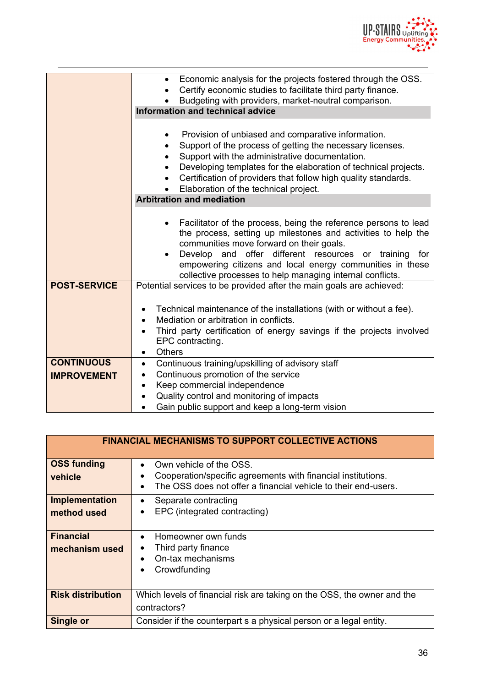

|                                         | Economic analysis for the projects fostered through the OSS.<br>$\bullet$<br>Certify economic studies to facilitate third party finance.<br>$\bullet$<br>Budgeting with providers, market-neutral comparison.<br>Information and technical advice                                                                                                                                  |  |  |
|-----------------------------------------|------------------------------------------------------------------------------------------------------------------------------------------------------------------------------------------------------------------------------------------------------------------------------------------------------------------------------------------------------------------------------------|--|--|
|                                         | Provision of unbiased and comparative information.<br>Support of the process of getting the necessary licenses.<br>$\bullet$<br>Support with the administrative documentation.<br>$\bullet$<br>Developing templates for the elaboration of technical projects.<br>Certification of providers that follow high quality standards.<br>Elaboration of the technical project.          |  |  |
|                                         | <b>Arbitration and mediation</b>                                                                                                                                                                                                                                                                                                                                                   |  |  |
|                                         | Facilitator of the process, being the reference persons to lead<br>$\bullet$<br>the process, setting up milestones and activities to help the<br>communities move forward on their goals.<br>and offer different resources or training<br>Develop<br>for<br>empowering citizens and local energy communities in these<br>collective processes to help managing internal conflicts. |  |  |
| <b>POST-SERVICE</b>                     | Potential services to be provided after the main goals are achieved:<br>Technical maintenance of the installations (with or without a fee).<br>٠<br>Mediation or arbitration in conflicts.<br>$\bullet$<br>Third party certification of energy savings if the projects involved<br>$\bullet$<br>EPC contracting.<br><b>Others</b><br>$\bullet$                                     |  |  |
| <b>CONTINUOUS</b><br><b>IMPROVEMENT</b> | Continuous training/upskilling of advisory staff<br>$\bullet$<br>Continuous promotion of the service<br>$\bullet$<br>Keep commercial independence<br>$\bullet$<br>Quality control and monitoring of impacts                                                                                                                                                                        |  |  |
|                                         | Gain public support and keep a long-term vision                                                                                                                                                                                                                                                                                                                                    |  |  |

| <b>FINANCIAL MECHANISMS TO SUPPORT COLLECTIVE ACTIONS</b> |                                                                                                                                                                                     |  |
|-----------------------------------------------------------|-------------------------------------------------------------------------------------------------------------------------------------------------------------------------------------|--|
| <b>OSS funding</b><br>vehicle                             | Own vehicle of the OSS.<br>$\bullet$<br>Cooperation/specific agreements with financial institutions.<br>The OSS does not offer a financial vehicle to their end-users.<br>$\bullet$ |  |
| <b>Implementation</b><br>method used                      | Separate contracting<br>$\bullet$<br>EPC (integrated contracting)<br>$\bullet$                                                                                                      |  |
| <b>Financial</b><br>mechanism used                        | Homeowner own funds<br>$\bullet$<br>Third party finance<br>$\bullet$<br>On-tax mechanisms<br>Crowdfunding<br>$\bullet$                                                              |  |
| <b>Risk distribution</b>                                  | Which levels of financial risk are taking on the OSS, the owner and the<br>contractors?                                                                                             |  |
| <b>Single or</b>                                          | Consider if the counterpart s a physical person or a legal entity.                                                                                                                  |  |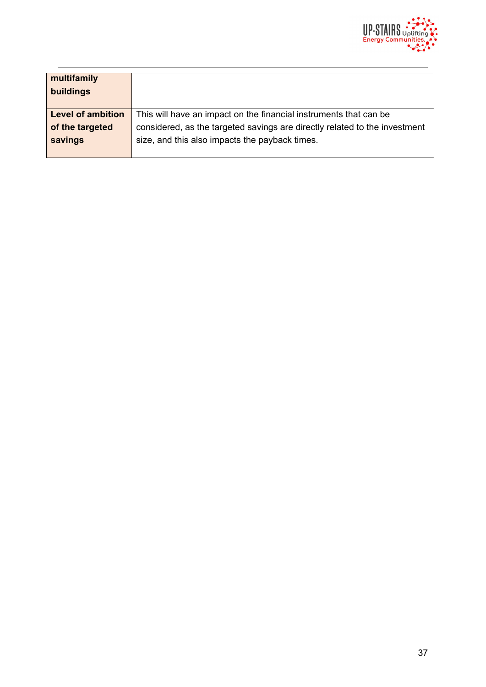

| multifamily<br>buildings |                                                                            |
|--------------------------|----------------------------------------------------------------------------|
| <b>Level of ambition</b> | This will have an impact on the financial instruments that can be          |
| of the targeted          | considered, as the targeted savings are directly related to the investment |
| savings                  | size, and this also impacts the payback times.                             |
|                          |                                                                            |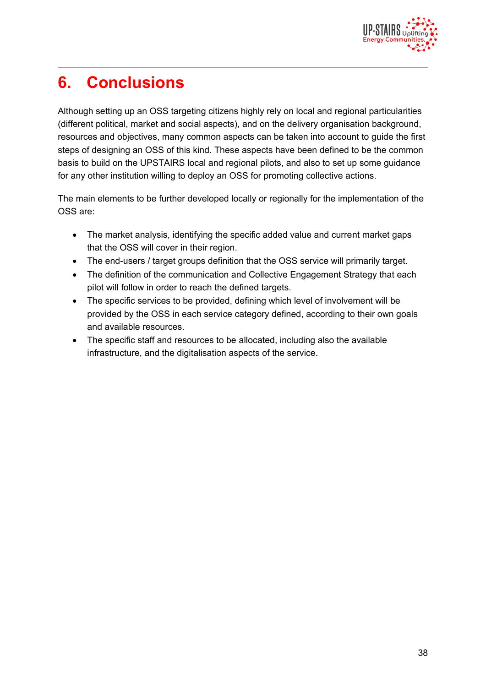

# **6. Conclusions**

Although setting up an OSS targeting citizens highly rely on local and regional particularities (different political, market and social aspects), and on the delivery organisation background, resources and objectives, many common aspects can be taken into account to guide the first steps of designing an OSS of this kind. These aspects have been defined to be the common basis to build on the UPSTAIRS local and regional pilots, and also to set up some guidance for any other institution willing to deploy an OSS for promoting collective actions.

The main elements to be further developed locally or regionally for the implementation of the OSS are:

- The market analysis, identifying the specific added value and current market gaps that the OSS will cover in their region.
- The end-users / target groups definition that the OSS service will primarily target.
- The definition of the communication and Collective Engagement Strategy that each pilot will follow in order to reach the defined targets.
- The specific services to be provided, defining which level of involvement will be provided by the OSS in each service category defined, according to their own goals and available resources.
- The specific staff and resources to be allocated, including also the available infrastructure, and the digitalisation aspects of the service.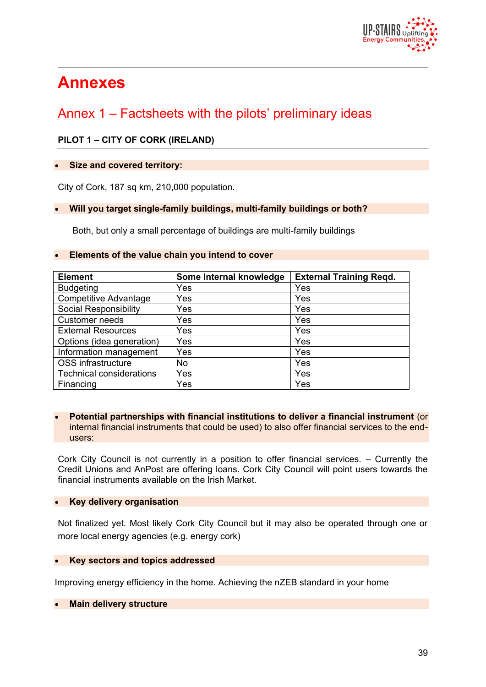

# **Annexes**

# Annex 1 – Factsheets with the pilots' preliminary ideas

#### **PILOT 1 – CITY OF CORK (IRELAND)**

#### **Size and covered territory:**

City of Cork, 187 sq km, 210,000 population.

#### **Will you target single-family buildings, multi-family buildings or both?**

Both, but only a small percentage of buildings are multi-family buildings

#### **Elements of the value chain you intend to cover**

| <b>Element</b>                  | Some Internal knowledge | <b>External Training Regd.</b> |
|---------------------------------|-------------------------|--------------------------------|
| <b>Budgeting</b>                | Yes                     | Yes                            |
| <b>Competitive Advantage</b>    | Yes                     | Yes                            |
| <b>Social Responsibility</b>    | Yes                     | Yes                            |
| <b>Customer needs</b>           | Yes                     | Yes                            |
| <b>External Resources</b>       | Yes                     | Yes                            |
| Options (idea generation)       | Yes                     | Yes                            |
| Information management          | Yes                     | Yes                            |
| OSS infrastructure              | No.                     | Yes                            |
| <b>Technical considerations</b> | Yes                     | Yes                            |
| Financing                       | Yes                     | Yes                            |

#### **Potential partnerships with financial institutions to deliver a financial instrument** (or internal financial instruments that could be used) to also offer financial services to the endusers:

Cork City Council is not currently in a position to offer financial services. – Currently the Credit Unions and AnPost are offering loans. Cork City Council will point users towards the financial instruments available on the Irish Market.

#### **Key delivery organisation**

Not finalized yet. Most likely Cork City Council but it may also be operated through one or more local energy agencies (e.g. energy cork)

#### **Key sectors and topics addressed**

Improving energy efficiency in the home. Achieving the nZEB standard in your home

#### **Main delivery structure**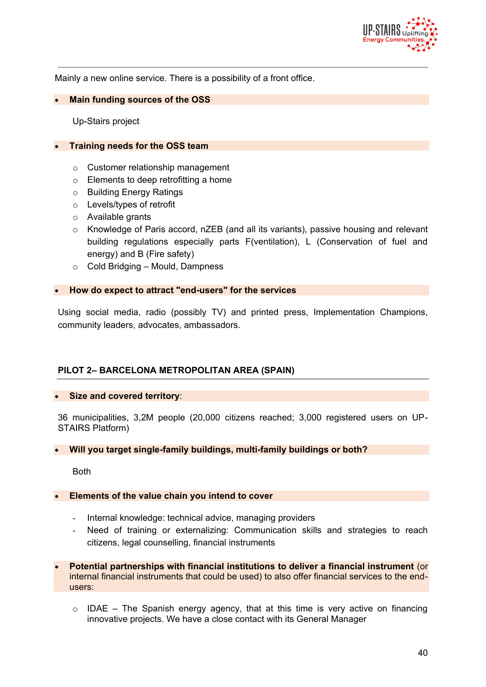

Mainly a new online service. There is a possibility of a front office.

#### **Main funding sources of the OSS**

Up-Stairs project

#### **Training needs for the OSS team**

- o Customer relationship management
- o Elements to deep retrofitting a home
- o Building Energy Ratings
- o Levels/types of retrofit
- o Available grants
- $\circ$  Knowledge of Paris accord, nZEB (and all its variants), passive housing and relevant building regulations especially parts F(ventilation), L (Conservation of fuel and energy) and B (Fire safety)
- o Cold Bridging Mould, Dampness

#### **How do expect to attract "end-users" for the services**

Using social media, radio (possibly TV) and printed press, Implementation Champions, community leaders, advocates, ambassadors.

#### **PILOT 2– BARCELONA METROPOLITAN AREA (SPAIN)**

#### **Size and covered territory**:

36 municipalities, 3,2M people (20,000 citizens reached; 3,000 registered users on UP-STAIRS Platform)

#### **Will you target single-family buildings, multi-family buildings or both?**

Both

#### **Elements of the value chain you intend to cover**

- Internal knowledge: technical advice, managing providers
- Need of training or externalizing: Communication skills and strategies to reach citizens, legal counselling, financial instruments
- **Potential partnerships with financial institutions to deliver a financial instrument** (or internal financial instruments that could be used) to also offer financial services to the endusers:
	- $\circ$  IDAE The Spanish energy agency, that at this time is very active on financing innovative projects. We have a close contact with its General Manager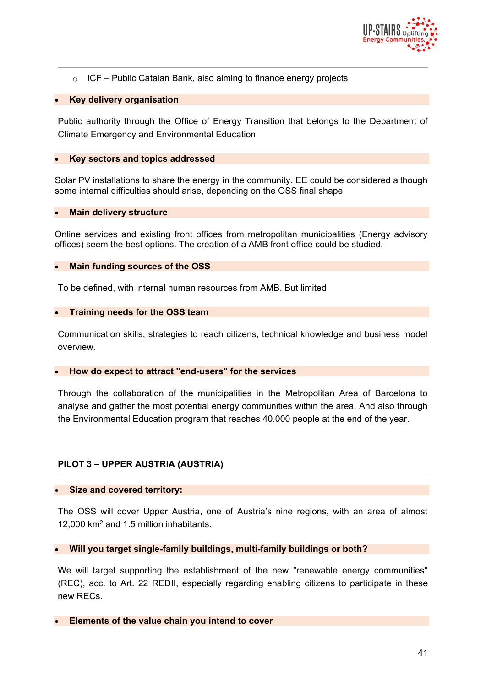

 $\circ$  ICF – Public Catalan Bank, also aiming to finance energy projects

#### **Key delivery organisation**

Public authority through the Office of Energy Transition that belongs to the Department of Climate Emergency and Environmental Education

#### **Key sectors and topics addressed**

Solar PV installations to share the energy in the community. EE could be considered although some internal difficulties should arise, depending on the OSS final shape

#### **Main delivery structure**

Online services and existing front offices from metropolitan municipalities (Energy advisory offices) seem the best options. The creation of a AMB front office could be studied.

#### **Main funding sources of the OSS**

To be defined, with internal human resources from AMB. But limited

#### **Training needs for the OSS team**

Communication skills, strategies to reach citizens, technical knowledge and business model overview.

#### **How do expect to attract "end-users" for the services**

Through the collaboration of the municipalities in the Metropolitan Area of Barcelona to analyse and gather the most potential energy communities within the area. And also through the Environmental Education program that reaches 40.000 people at the end of the year.

#### **PILOT 3 – UPPER AUSTRIA (AUSTRIA)**

#### **Size and covered territory:**

The OSS will cover Upper Austria, one of Austria's nine regions, with an area of almost 12,000 km<sup>2</sup> and 1.5 million inhabitants.

#### **Will you target single-family buildings, multi-family buildings or both?**

We will target supporting the establishment of the new "renewable energy communities" (REC), acc. to Art. 22 REDII, especially regarding enabling citizens to participate in these new RECs.

**Elements of the value chain you intend to cover**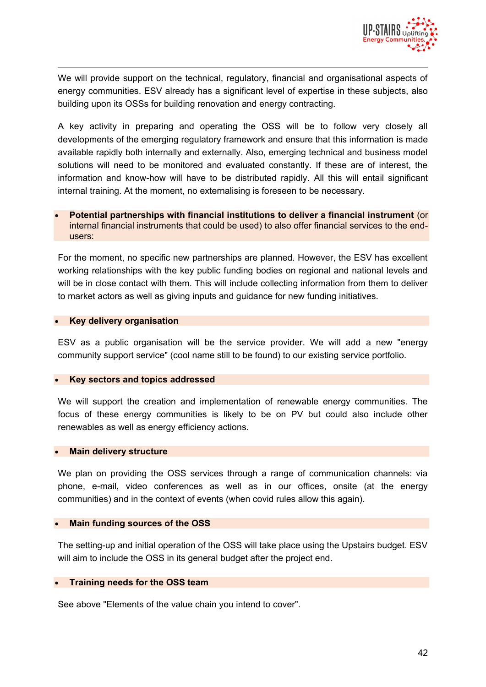

We will provide support on the technical, regulatory, financial and organisational aspects of energy communities. ESV already has a significant level of expertise in these subjects, also building upon its OSSs for building renovation and energy contracting.

A key activity in preparing and operating the OSS will be to follow very closely all developments of the emerging regulatory framework and ensure that this information is made available rapidly both internally and externally. Also, emerging technical and business model solutions will need to be monitored and evaluated constantly. If these are of interest, the information and know-how will have to be distributed rapidly. All this will entail significant internal training. At the moment, no externalising is foreseen to be necessary.

#### **Potential partnerships with financial institutions to deliver a financial instrument** (or internal financial instruments that could be used) to also offer financial services to the endusers:

For the moment, no specific new partnerships are planned. However, the ESV has excellent working relationships with the key public funding bodies on regional and national levels and will be in close contact with them. This will include collecting information from them to deliver to market actors as well as giving inputs and guidance for new funding initiatives.

#### **Key delivery organisation**

ESV as a public organisation will be the service provider. We will add a new "energy community support service" (cool name still to be found) to our existing service portfolio.

#### **Key sectors and topics addressed**

We will support the creation and implementation of renewable energy communities. The focus of these energy communities is likely to be on PV but could also include other renewables as well as energy efficiency actions.

#### **Main delivery structure**

We plan on providing the OSS services through a range of communication channels: via phone, e-mail, video conferences as well as in our offices, onsite (at the energy communities) and in the context of events (when covid rules allow this again).

#### **Main funding sources of the OSS**

The setting-up and initial operation of the OSS will take place using the Upstairs budget. ESV will aim to include the OSS in its general budget after the project end.

#### **Training needs for the OSS team**

See above "Elements of the value chain you intend to cover".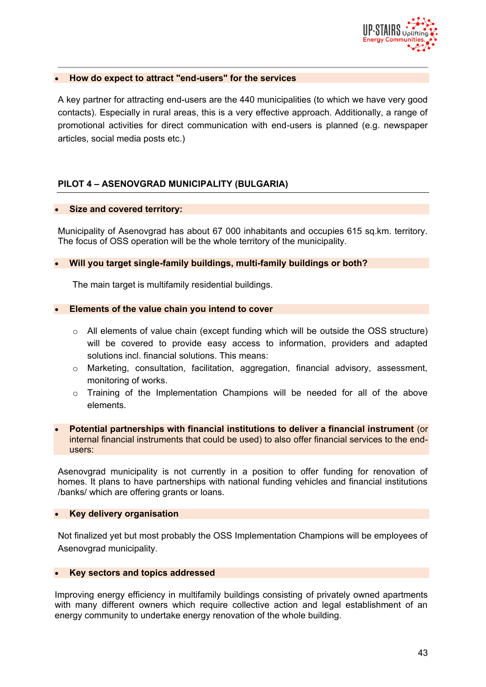

#### **How do expect to attract "end-users" for the services**

A key partner for attracting end-users are the 440 municipalities (to which we have very good contacts). Especially in rural areas, this is a very effective approach. Additionally, a range of promotional activities for direct communication with end-users is planned (e.g. newspaper articles, social media posts etc.)

#### **PILOT 4 – ASENOVGRAD MUNICIPALITY (BULGARIA)**

#### **Size and covered territory:**

Municipality of Asenovgrad has about 67 000 inhabitants and occupies 615 sq.km. territory. The focus of OSS operation will be the whole territory of the municipality.

#### **Will you target single-family buildings, multi-family buildings or both?**

The main target is multifamily residential buildings.

#### **Elements of the value chain you intend to cover**

- $\circ$  All elements of value chain (except funding which will be outside the OSS structure) will be covered to provide easy access to information, providers and adapted solutions incl. financial solutions. This means:
- $\circ$  Marketing, consultation, facilitation, aggregation, financial advisory, assessment, monitoring of works.
- o Training of the Implementation Champions will be needed for all of the above elements.

#### **Potential partnerships with financial institutions to deliver a financial instrument** (or internal financial instruments that could be used) to also offer financial services to the endusers:

Asenovgrad municipality is not currently in a position to offer funding for renovation of homes. It plans to have partnerships with national funding vehicles and financial institutions /banks/ which are offering grants or loans.

#### **Key delivery organisation**

Not finalized yet but most probably the OSS Implementation Champions will be employees of Asenovgrad municipality.

#### **Key sectors and topics addressed**

Improving energy efficiency in multifamily buildings consisting of privately owned apartments with many different owners which require collective action and legal establishment of an energy community to undertake energy renovation of the whole building.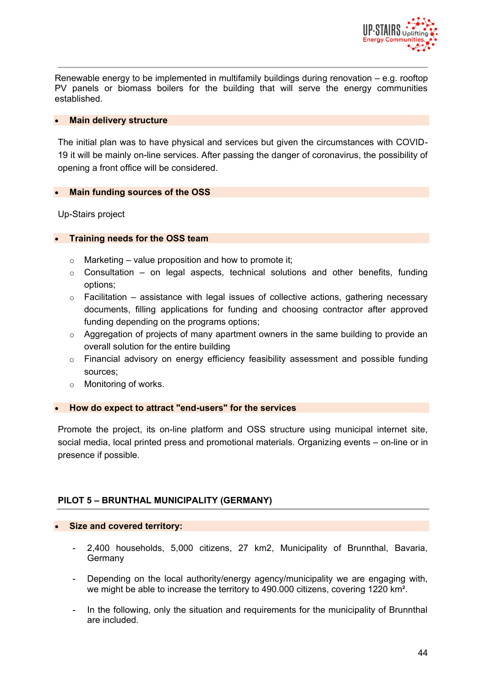

Renewable energy to be implemented in multifamily buildings during renovation  $-$  e.g. rooftop PV panels or biomass boilers for the building that will serve the energy communities established.

#### **Main delivery structure**

The initial plan was to have physical and services but given the circumstances with COVID-19 it will be mainly on-line services. After passing the danger of coronavirus, the possibility of opening a front office will be considered.

#### **Main funding sources of the OSS**

Up-Stairs project

#### **Training needs for the OSS team**

- $\circ$  Marketing value proposition and how to promote it;
- $\circ$  Consultation on legal aspects, technical solutions and other benefits, funding options;
- $\circ$  Facilitation assistance with legal issues of collective actions, gathering necessary documents, filling applications for funding and choosing contractor after approved funding depending on the programs options;
- o Aggregation of projects of many apartment owners in the same building to provide an overall solution for the entire building
- $\circ$  Financial advisory on energy efficiency feasibility assessment and possible funding sources;
- o Monitoring of works.

#### **How do expect to attract "end-users" for the services**

Promote the project, its on-line platform and OSS structure using municipal internet site, social media, local printed press and promotional materials. Organizing events – on-line or in presence if possible.

#### **PILOT 5 – BRUNTHAL MUNICIPALITY (GERMANY)**

#### **Size and covered territory:**

- 2,400 households, 5,000 citizens, 27 km2, Municipality of Brunnthal, Bavaria, Germany
- Depending on the local authority/energy agency/municipality we are engaging with, we might be able to increase the territory to 490.000 citizens, covering 1220 km².
- In the following, only the situation and requirements for the municipality of Brunnthal are included.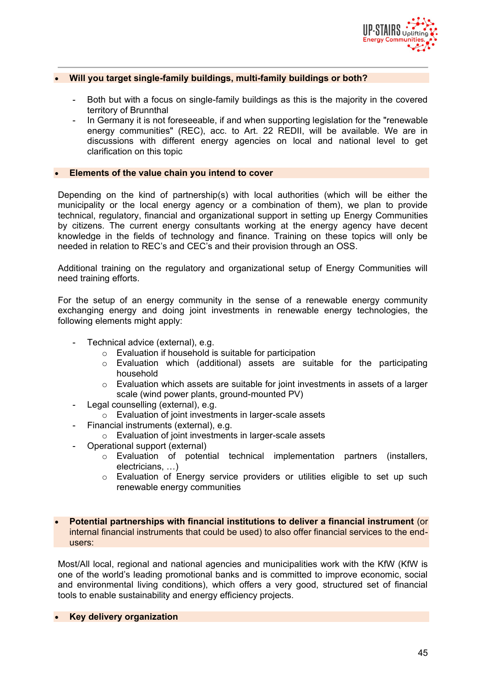

#### **Will you target single-family buildings, multi-family buildings or both?**

- Both but with a focus on single-family buildings as this is the majority in the covered territory of Brunnthal
- In Germany it is not foreseeable, if and when supporting legislation for the "renewable energy communities" (REC), acc. to Art. 22 REDII, will be available. We are in discussions with different energy agencies on local and national level to get clarification on this topic

#### **Elements of the value chain you intend to cover**

Depending on the kind of partnership(s) with local authorities (which will be either the municipality or the local energy agency or a combination of them), we plan to provide technical, regulatory, financial and organizational support in setting up Energy Communities by citizens. The current energy consultants working at the energy agency have decent knowledge in the fields of technology and finance. Training on these topics will only be needed in relation to REC's and CEC's and their provision through an OSS.

Additional training on the regulatory and organizational setup of Energy Communities will need training efforts.

For the setup of an energy community in the sense of a renewable energy community exchanging energy and doing joint investments in renewable energy technologies, the following elements might apply:

- Technical advice (external), e.g.
	- o Evaluation if household is suitable for participation
	- $\circ$  Evaluation which (additional) assets are suitable for the participating household
	- $\circ$  Evaluation which assets are suitable for joint investments in assets of a larger scale (wind power plants, ground-mounted PV)
- Legal counselling (external), e.g.
	- o Evaluation of joint investments in larger-scale assets
	- Financial instruments (external), e.g.
		- o Evaluation of joint investments in larger-scale assets
- Operational support (external)
	- o Evaluation of potential technical implementation partners (installers, electricians, …)
	- o Evaluation of Energy service providers or utilities eligible to set up such renewable energy communities

 **Potential partnerships with financial institutions to deliver a financial instrument** (or internal financial instruments that could be used) to also offer financial services to the endusers:

Most/All local, regional and national agencies and municipalities work with the KfW (KfW is one of the world's leading promotional banks and is committed to improve economic, social and environmental living conditions), which offers a very good, structured set of financial tools to enable sustainability and energy efficiency projects.

**Key delivery organization**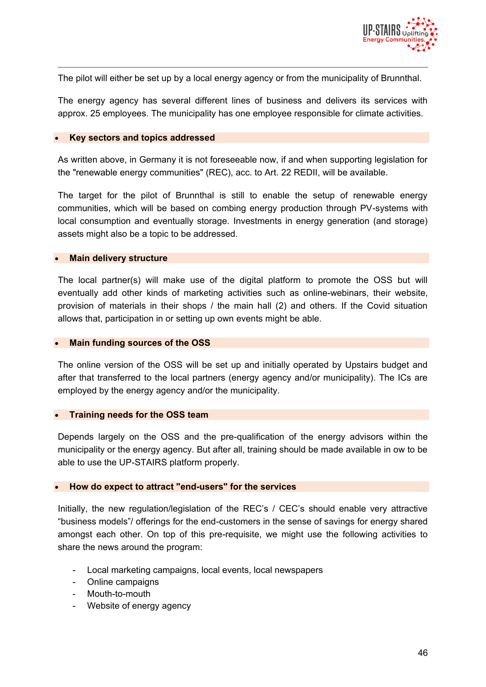

The pilot will either be set up by a local energy agency or from the municipality of Brunnthal.

The energy agency has several different lines of business and delivers its services with approx. 25 employees. The municipality has one employee responsible for climate activities.

#### **Key sectors and topics addressed**

As written above, in Germany it is not foreseeable now, if and when supporting legislation for the "renewable energy communities" (REC), acc. to Art. 22 REDII, will be available.

The target for the pilot of Brunnthal is still to enable the setup of renewable energy communities, which will be based on combing energy production through PV-systems with local consumption and eventually storage. Investments in energy generation (and storage) assets might also be a topic to be addressed.

#### **Main delivery structure**

The local partner(s) will make use of the digital platform to promote the OSS but will eventually add other kinds of marketing activities such as online-webinars, their website, provision of materials in their shops / the main hall (2) and others. If the Covid situation allows that, participation in or setting up own events might be able.

#### **Main funding sources of the OSS**

The online version of the OSS will be set up and initially operated by Upstairs budget and after that transferred to the local partners (energy agency and/or municipality). The ICs are employed by the energy agency and/or the municipality.

#### **Training needs for the OSS team**

Depends largely on the OSS and the pre-qualification of the energy advisors within the municipality or the energy agency. But after all, training should be made available in ow to be able to use the UP-STAIRS platform properly.

#### **How do expect to attract "end-users" for the services**

Initially, the new regulation/legislation of the REC's / CEC's should enable very attractive "business models"/ offerings for the end-customers in the sense of savings for energy shared amongst each other. On top of this pre-requisite, we might use the following activities to share the news around the program:

- Local marketing campaigns, local events, local newspapers
- Online campaigns
- Mouth-to-mouth
- Website of energy agency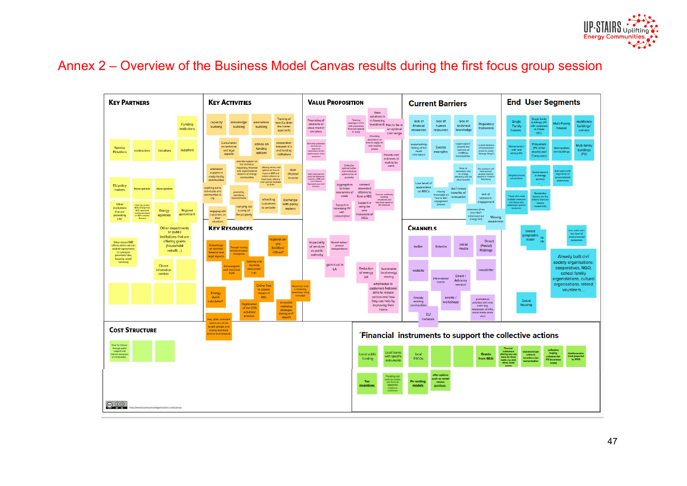

## Annex 2 – Overview of the Business Model Canvas results during the first focus group session

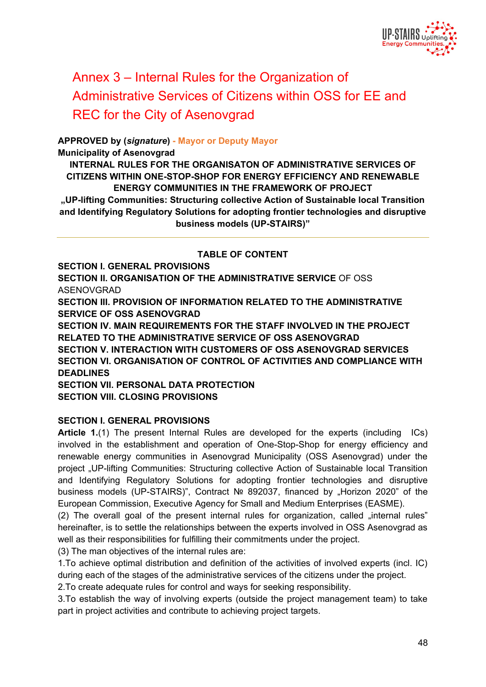

# Annex 3 – Internal Rules for the Organization of Administrative Services of Citizens within OSS for EE and REC for the City of Asenovgrad

#### **APPROVED by (***signature***) - Mayor or Deputy Mayor**

**Municipality of Asenovgrad**

**INTERNAL RULES FOR THE ORGANISATON OF ADMINISTRATIVE SERVICES OF CITIZENS WITHIN ONE-STOP-SHOP FOR ENERGY EFFICIENCY AND RENEWABLE ENERGY COMMUNITIES IN THE FRAMEWORK OF PROJECT "UP-lifting Communities: Structuring collective Action of Sustainable local Transition and Identifying Regulatory Solutions for adopting frontier technologies and disruptive business models (UP-STAIRS)"**

#### **TABLE OF CONTENT**

**SECTION І. GENERAL PROVISIONS SECTION II. ORGANISATION OF THE ADMINISTRATIVE SERVICE OF OSS** ASENOVGRAD **SECTION ІІІ. PROVISION OF INFORMATION RELATED TO THE ADMINISTRATIVE SERVICE OF OSS ASENOVGRAD SECTION IV. MAIN REQUIREMENTS FOR THE STAFF INVOLVED IN THE PROJECT RELATED TO THE ADMINISTRATIVE SERVICE OF OSS ASENOVGRAD SECTION V. INTERACTION WITH CUSTOMERS OF OSS ASENOVGRAD SERVICES SECTION VІ. ORGANISATION OF CONTROL OF ACTIVITIES AND COMPLIANCE WITH DEADLINES SECTION VІI. PERSONAL DATA PROTECTION SECTION VІІІ. CLOSING PROVISIONS**

#### **SECTION І. GENERAL PROVISIONS**

**Article 1.**(1) The present Internal Rules are developed for the experts (including ICs) involved in the establishment and operation of One-Stop-Shop for energy efficiency and renewable energy communities in Asenovgrad Municipality (OSS Asenovgrad) under the project "UP-lifting Communities: Structuring collective Action of Sustainable local Transition and Identifying Regulatory Solutions for adopting frontier technologies and disruptive business models (UP-STAIRS)", Contract № 892037, financed by "Horizon 2020" of the European Commission, Executive Agency for Small and Medium Enterprises (EASME).

 $(2)$  The overall goal of the present internal rules for organization, called  $\overline{a}$  internal rules" hereinafter, is to settle the relationships between the experts involved in OSS Asenovgrad as well as their responsibilities for fulfilling their commitments under the project.

(3) The man objectives of the internal rules are:

1.To achieve optimal distribution and definition of the activities of involved experts (incl. IC) during each of the stages of the administrative services of the citizens under the project.

2.To create adequate rules for control and ways for seeking responsibility.

3.To establish the way of involving experts (outside the project management team) to take part in project activities and contribute to achieving project targets.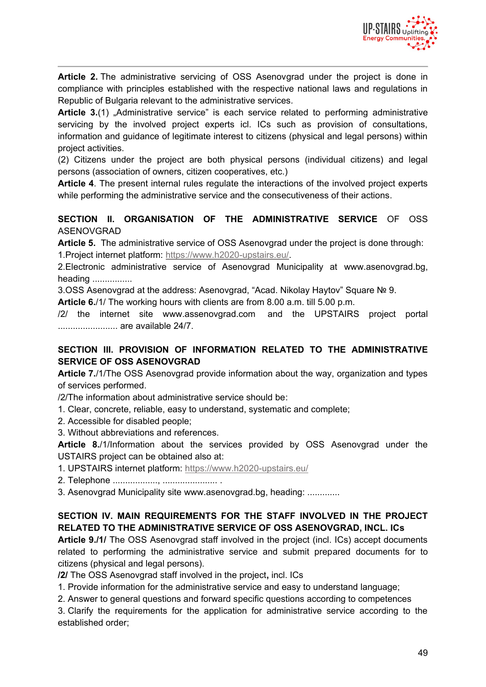

**Article 2.** The administrative servicing of OSS Asenovgrad under the project is done in compliance with principles established with the respective national laws and regulations in Republic of Bulgaria relevant to the administrative services*.*

**Article 3.**(1) "Administrative service" is each service related to performing administrative servicing by the involved project experts icl. ICs such as provision of consultations, information and guidance of legitimate interest to citizens (physical and legal persons) within project activities.

(2) Citizens under the project are both physical persons (individual citizens) and legal persons (association of owners, citizen cooperatives, etc.)

**Article 4**. The present internal rules regulate the interactions of the involved project experts while performing the administrative service and the consecutiveness of their actions.

**SECTION II. ORGANISATION OF THE ADMINISTRATIVE SERVICE OF OSS** ASENOVGRAD

**Article 5.** The administrative service of OSS Asenovgrad under the project is done through: 1.Project internet platform: https://www.h2020-upstairs.eu/.

2.Electronic administrative service of Asenovgrad Municipality at www.asenovgrad.bg, heading ................

3.OSS Asenovgrad at the address: Asenovgrad, "Acad. Nikolay Haytov" Square № 9.

**Article 6.**/1/ The working hours with clients are from 8.00 a.m. till 5.00 p.m.

/2/ the internet site www.assenovgrad.com and the UPSTAIRS project portal ........................ are available 24/7.

#### **SECTION ІІІ. PROVISION OF INFORMATION RELATED TO THE ADMINISTRATIVE SERVICE OF OSS ASENOVGRAD**

**Article 7.**/1/The OSS Asenovgrad provide information about the way, organization and types of services performed.

/2/The information about administrative service should be:

1. Clear, concrete, reliable, easy to understand, systematic and complete;

2. Accessible for disabled people;

3. Without abbreviations and references.

**Article 8.**/1/Information about the services provided by OSS Asenovgrad under the USTAIRS project can be obtained also at:

1. UPSTAIRS internet platform: https://www.h2020-upstairs.eu/

2. Telephone .................., ...................... .

3. Asenovgrad Municipality site www.asenovgrad.bg, heading: .............

#### **SECTION IV. MAIN REQUIREMENTS FOR THE STAFF INVOLVED IN THE PROJECT RELATED TO THE ADMINISTRATIVE SERVICE OF OSS ASENOVGRAD, INCL. ICs**

**Article 9./1/** The OSS Asenovgrad staff involved in the project (incl. ICs) accept documents related to performing the administrative service and submit prepared documents for to citizens (physical and legal persons).

**/2/** The OSS Asenovgrad staff involved in the project**,** incl. ICs

1. Provide information for the administrative service and easy to understand language;

2. Answer to general questions and forward specific questions according to competences

3. Clarify the requirements for the application for administrative service according to the established order;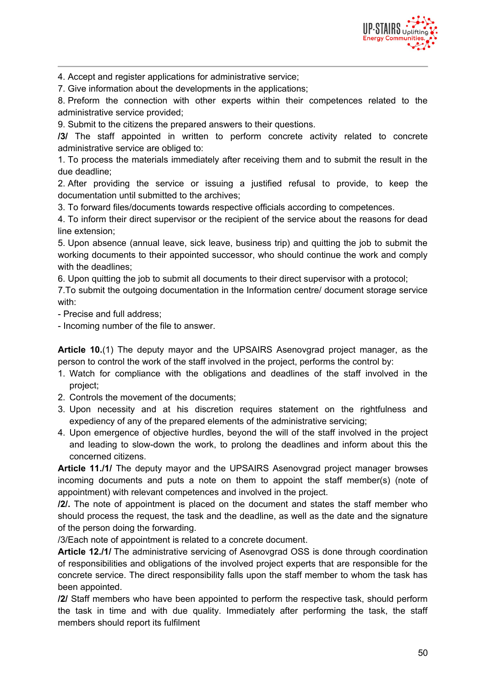

4. Accept and register applications for administrative service;

7. Give information about the developments in the applications;

8. Preform the connection with other experts within their competences related to the administrative service provided;

9. Submit to the citizens the prepared answers to their questions.

**/3/** The staff appointed in written to perform concrete activity related to concrete administrative service are obliged to:

1. To process the materials immediately after receiving them and to submit the result in the due deadline;

2. After providing the service or issuing a justified refusal to provide, to keep the documentation until submitted to the archives;

3. To forward files/documents towards respective officials according to competences.

4. To inform their direct supervisor or the recipient of the service about the reasons for dead line extension;

5. Upon absence (annual leave, sick leave, business trip) and quitting the job to submit the working documents to their appointed successor, who should continue the work and comply with the deadlines;

6. Upon quitting the job to submit all documents to their direct supervisor with a protocol;

7.To submit the outgoing documentation in the Information centre/ document storage service with:

- Precise and full address;

- Incoming number of the file to answer.

**Article 10.**(1) The deputy mayor and the UPSAIRS Asenovgrad project manager, as the person to control the work of the staff involved in the project, performs the control by:

- 1. Watch for compliance with the obligations and deadlines of the staff involved in the project;
- 2. Controls the movement of the documents;
- 3. Upon necessity and at his discretion requires statement on the rightfulness and expediency of any of the prepared elements of the administrative servicing;
- 4. Upon emergence of objective hurdles, beyond the will of the staff involved in the project and leading to slow-down the work, to prolong the deadlines and inform about this the concerned citizens.

**Article 11./1/** The deputy mayor and the UPSAIRS Asenovgrad project manager browses incoming documents and puts a note on them to appoint the staff member(s) (note of appointment) with relevant competences and involved in the project.

**/2/.** The note of appointment is placed on the document and states the staff member who should process the request, the task and the deadline, as well as the date and the signature of the person doing the forwarding.

/3/Each note of appointment is related to a concrete document.

**Article 12./1/** The administrative servicing of Asenovgrad OSS is done through coordination of responsibilities and obligations of the involved project experts that are responsible for the concrete service. The direct responsibility falls upon the staff member to whom the task has been appointed.

**/2/** Staff members who have been appointed to perform the respective task, should perform the task in time and with due quality. Immediately after performing the task, the staff members should report its fulfilment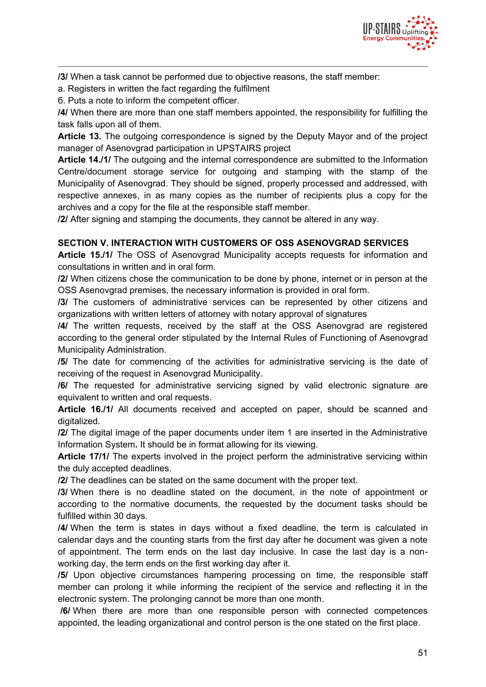

**/3/** When a task cannot be performed due to objective reasons, the staff member:

а. Registers in written the fact regarding the fulfilment

б. Puts a note to inform the competent officer.

**/4/** When there are more than one staff members appointed, the responsibility for fulfilling the task falls upon all of them.

**Article 13.** The outgoing correspondence is signed by the Deputy Mayor and of the project manager of Asenovgrad participation in UPSTAIRS project

**Article 14./1/** The outgoing and the internal correspondence are submitted to the Information Centre/document storage service for outgoing and stamping with the stamp of the Municipality of Asenovgrad. They should be signed, properly processed and addressed, with respective annexes, in as many copies as the number of recipients plus a copy for the archives and a copy for the file at the responsible staff member.

**/2/** After signing and stamping the documents, they cannot be altered in any way.

#### **SECTION V. INTERACTION WITH CUSTOMERS OF OSS ASENOVGRAD SERVICES**

**Article 15./1/** The OSS of Asenovgrad Municipality accepts requests for information and consultations in written and in oral form.

**/2/** When citizens chose the communication to be done by phone, internet or in person at the OSS Asenovgrad premises, the necessary information is provided in oral form.

**/3/** The customers of administrative services can be represented by other citizens and organizations with written letters of attorney with notary approval of signatures

**/4/** The written requests, received by the staff at the OSS Asenovgrad are registered according to the general order stipulated by the Internal Rules of Functioning of Asenovgrad Municipality Administration.

**/5/** The date for commencing of the activities for administrative servicing is the date of receiving of the request in Asenovgrad Municipality.

**/6/** The requested for administrative servicing signed by valid electronic signature are equivalent to written and oral requests.

**Article 16./1/** All documents received and accepted on paper, should be scanned and digitalized.

**/2/** The digital image of the paper documents under item 1 are inserted in the Administrative Information System**.** It should be in format allowing for its viewing.

**Article 17/1/** The experts involved in the project perform the administrative servicing within the duly accepted deadlines.

**/2/** The deadlines can be stated on the same document with the proper text.

**/3/** When there is no deadline stated on the document, in the note of appointment or according to the normative documents, the requested by the document tasks should be fulfilled within 30 days.

**/4/** When the term is states in days without a fixed deadline, the term is calculated in calendar days and the counting starts from the first day after he document was given a note of appointment. The term ends on the last day inclusive. In case the last day is a nonworking day, the term ends on the first working day after it.

**/5/** Upon objective circumstances hampering processing on time, the responsible staff member can prolong it while informing the recipient of the service and reflecting it in the electronic system. The prolonging cannot be more than one month.

**/6/** When there are more than one responsible person with connected competences appointed, the leading organizational and control person is the one stated on the first place.